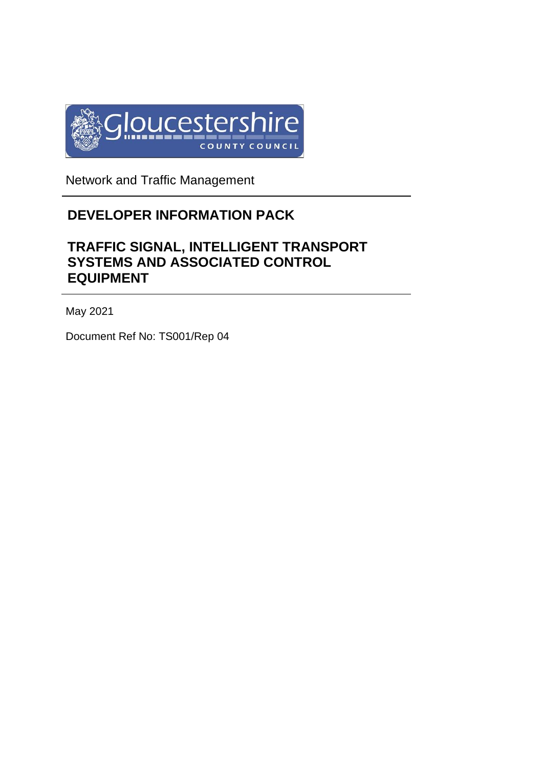

Network and Traffic Management

# **DEVELOPER INFORMATION PACK**

# **TRAFFIC SIGNAL, INTELLIGENT TRANSPORT SYSTEMS AND ASSOCIATED CONTROL EQUIPMENT**

May 2021

Document Ref No: TS001/Rep 04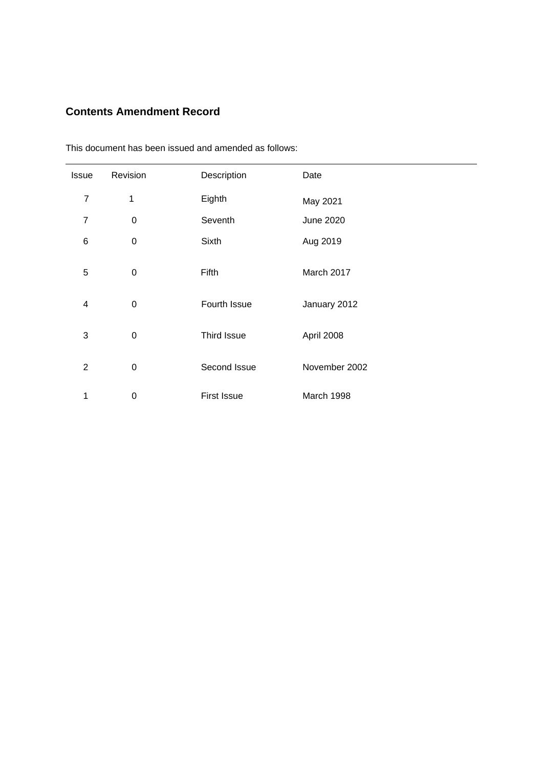# **Contents Amendment Record**

| <b>Issue</b>   | Revision         | Description        | Date             |
|----------------|------------------|--------------------|------------------|
| $\overline{7}$ | 1                | Eighth             | May 2021         |
| $\overline{7}$ | $\boldsymbol{0}$ | Seventh            | <b>June 2020</b> |
| 6              | $\boldsymbol{0}$ | Sixth              | Aug 2019         |
| 5              | $\boldsymbol{0}$ | Fifth              | March 2017       |
| 4              | $\boldsymbol{0}$ | Fourth Issue       | January 2012     |
| 3              | $\boldsymbol{0}$ | Third Issue        | April 2008       |
| $\overline{2}$ | $\boldsymbol{0}$ | Second Issue       | November 2002    |
| 1              | $\boldsymbol{0}$ | <b>First Issue</b> | March 1998       |

This document has been issued and amended as follows: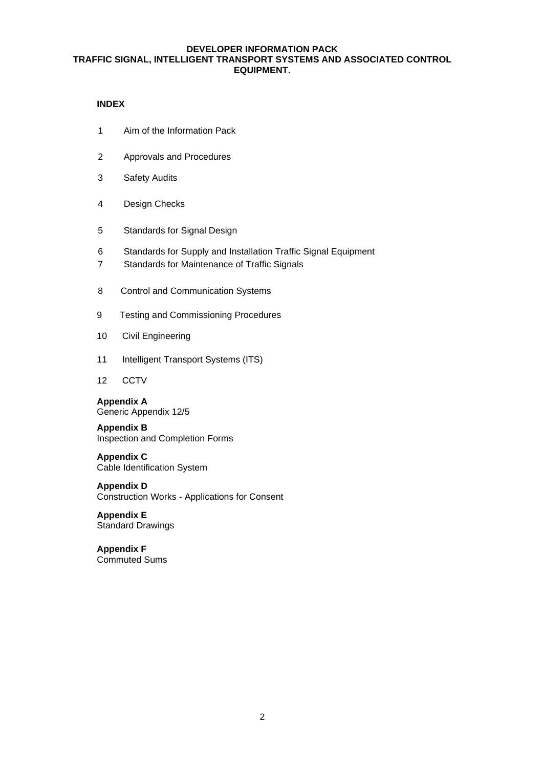# **INDEX**

- 1 Aim of the Information Pack
- 2 Approvals and Procedures
- 3 Safety Audits
- 4 Design Checks
- 5 Standards for Signal Design
- 6 Standards for Supply and Installation Traffic Signal Equipment
- 7 Standards for Maintenance of Traffic Signals
- 8 Control and Communication Systems
- 9 Testing and Commissioning Procedures
- 10 Civil Engineering
- 11 Intelligent Transport Systems (ITS)
- 12 CCTV

**Appendix A** Generic Appendix 12/5

**Appendix B** Inspection and Completion Forms

**Appendix C** Cable Identification System

**Appendix D** Construction Works - Applications for Consent

**Appendix E** Standard Drawings

**Appendix F** Commuted Sums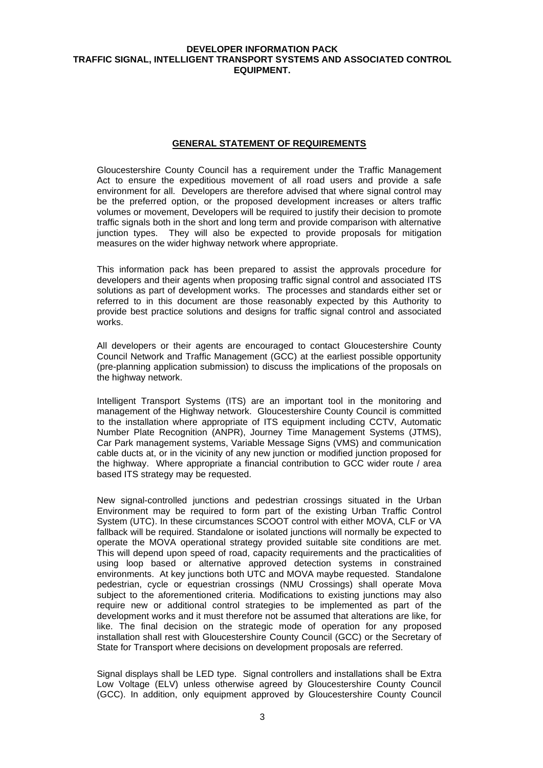#### **GENERAL STATEMENT OF REQUIREMENTS**

Gloucestershire County Council has a requirement under the Traffic Management Act to ensure the expeditious movement of all road users and provide a safe environment for all. Developers are therefore advised that where signal control may be the preferred option, or the proposed development increases or alters traffic volumes or movement, Developers will be required to justify their decision to promote traffic signals both in the short and long term and provide comparison with alternative junction types. They will also be expected to provide proposals for mitigation measures on the wider highway network where appropriate.

This information pack has been prepared to assist the approvals procedure for developers and their agents when proposing traffic signal control and associated ITS solutions as part of development works. The processes and standards either set or referred to in this document are those reasonably expected by this Authority to provide best practice solutions and designs for traffic signal control and associated works.

All developers or their agents are encouraged to contact Gloucestershire County Council Network and Traffic Management (GCC) at the earliest possible opportunity (pre-planning application submission) to discuss the implications of the proposals on the highway network.

Intelligent Transport Systems (ITS) are an important tool in the monitoring and management of the Highway network. Gloucestershire County Council is committed to the installation where appropriate of ITS equipment including CCTV, Automatic Number Plate Recognition (ANPR), Journey Time Management Systems (JTMS), Car Park management systems, Variable Message Signs (VMS) and communication cable ducts at, or in the vicinity of any new junction or modified junction proposed for the highway. Where appropriate a financial contribution to GCC wider route / area based ITS strategy may be requested.

New signal-controlled junctions and pedestrian crossings situated in the Urban Environment may be required to form part of the existing Urban Traffic Control System (UTC). In these circumstances SCOOT control with either MOVA, CLF or VA fallback will be required. Standalone or isolated junctions will normally be expected to operate the MOVA operational strategy provided suitable site conditions are met. This will depend upon speed of road, capacity requirements and the practicalities of using loop based or alternative approved detection systems in constrained environments. At key junctions both UTC and MOVA maybe requested. Standalone pedestrian, cycle or equestrian crossings (NMU Crossings) shall operate Mova subject to the aforementioned criteria. Modifications to existing junctions may also require new or additional control strategies to be implemented as part of the development works and it must therefore not be assumed that alterations are like, for like. The final decision on the strategic mode of operation for any proposed installation shall rest with Gloucestershire County Council (GCC) or the Secretary of State for Transport where decisions on development proposals are referred.

Signal displays shall be LED type. Signal controllers and installations shall be Extra Low Voltage (ELV) unless otherwise agreed by Gloucestershire County Council (GCC). In addition, only equipment approved by Gloucestershire County Council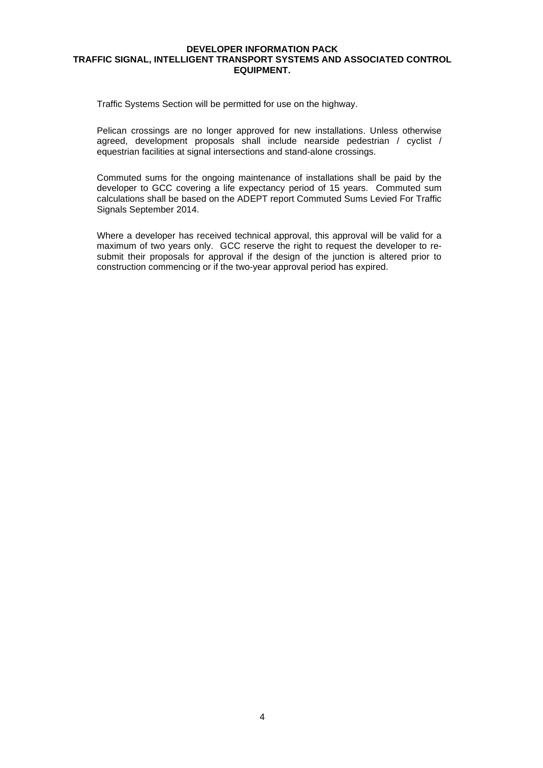Traffic Systems Section will be permitted for use on the highway.

Pelican crossings are no longer approved for new installations. Unless otherwise agreed, development proposals shall include nearside pedestrian / cyclist / equestrian facilities at signal intersections and stand-alone crossings.

Commuted sums for the ongoing maintenance of installations shall be paid by the developer to GCC covering a life expectancy period of 15 years. Commuted sum calculations shall be based on the ADEPT report Commuted Sums Levied For Traffic Signals September 2014.

Where a developer has received technical approval, this approval will be valid for a maximum of two years only. GCC reserve the right to request the developer to resubmit their proposals for approval if the design of the junction is altered prior to construction commencing or if the two-year approval period has expired.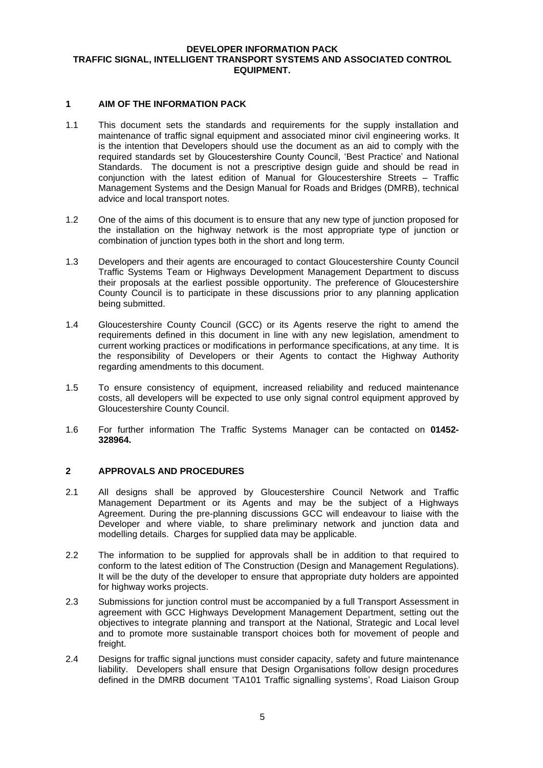## **1 AIM OF THE INFORMATION PACK**

- 1.1 This document sets the standards and requirements for the supply installation and maintenance of traffic signal equipment and associated minor civil engineering works. It is the intention that Developers should use the document as an aid to comply with the required standards set by Gloucestershire County Council, 'Best Practice' and National Standards. The document is not a prescriptive design guide and should be read in conjunction with the latest edition of Manual for Gloucestershire Streets – Traffic Management Systems and the Design Manual for Roads and Bridges (DMRB), technical advice and local transport notes.
- 1.2 One of the aims of this document is to ensure that any new type of junction proposed for the installation on the highway network is the most appropriate type of junction or combination of junction types both in the short and long term.
- 1.3 Developers and their agents are encouraged to contact Gloucestershire County Council Traffic Systems Team or Highways Development Management Department to discuss their proposals at the earliest possible opportunity. The preference of Gloucestershire County Council is to participate in these discussions prior to any planning application being submitted.
- 1.4 Gloucestershire County Council (GCC) or its Agents reserve the right to amend the requirements defined in this document in line with any new legislation, amendment to current working practices or modifications in performance specifications, at any time. It is the responsibility of Developers or their Agents to contact the Highway Authority regarding amendments to this document.
- 1.5 To ensure consistency of equipment, increased reliability and reduced maintenance costs, all developers will be expected to use only signal control equipment approved by Gloucestershire County Council.
- 1.6 For further information The Traffic Systems Manager can be contacted on **01452- 328964.**

# **2 APPROVALS AND PROCEDURES**

- 2.1 All designs shall be approved by Gloucestershire Council Network and Traffic Management Department or its Agents and may be the subject of a Highways Agreement. During the pre-planning discussions GCC will endeavour to liaise with the Developer and where viable, to share preliminary network and junction data and modelling details. Charges for supplied data may be applicable.
- 2.2 The information to be supplied for approvals shall be in addition to that required to conform to the latest edition of The Construction (Design and Management Regulations). It will be the duty of the developer to ensure that appropriate duty holders are appointed for highway works projects.
- 2.3 Submissions for junction control must be accompanied by a full Transport Assessment in agreement with GCC Highways Development Management Department, setting out the objectives to integrate planning and transport at the National, Strategic and Local level and to promote more sustainable transport choices both for movement of people and freight.
- 2.4 Designs for traffic signal junctions must consider capacity, safety and future maintenance liability. Developers shall ensure that Design Organisations follow design procedures defined in the DMRB document 'TA101 Traffic signalling systems', Road Liaison Group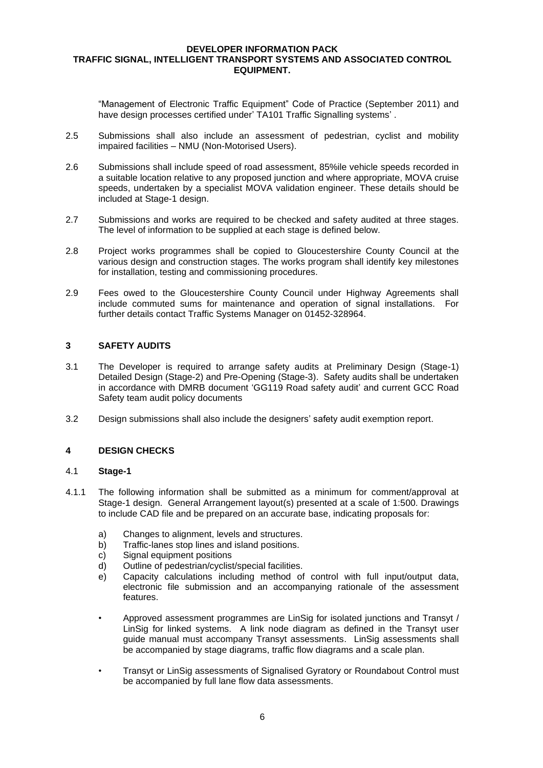"Management of Electronic Traffic Equipment" Code of Practice (September 2011) and have design processes certified under' TA101 Traffic Signalling systems' .

- 2.5 Submissions shall also include an assessment of pedestrian, cyclist and mobility impaired facilities – NMU (Non-Motorised Users).
- 2.6 Submissions shall include speed of road assessment, 85%ile vehicle speeds recorded in a suitable location relative to any proposed junction and where appropriate, MOVA cruise speeds, undertaken by a specialist MOVA validation engineer. These details should be included at Stage-1 design.
- 2.7 Submissions and works are required to be checked and safety audited at three stages. The level of information to be supplied at each stage is defined below.
- 2.8 Project works programmes shall be copied to Gloucestershire County Council at the various design and construction stages. The works program shall identify key milestones for installation, testing and commissioning procedures.
- 2.9 Fees owed to the Gloucestershire County Council under Highway Agreements shall include commuted sums for maintenance and operation of signal installations. For further details contact Traffic Systems Manager on 01452-328964.

# **3 SAFETY AUDITS**

- 3.1 The Developer is required to arrange safety audits at Preliminary Design (Stage-1) Detailed Design (Stage-2) and Pre-Opening (Stage-3). Safety audits shall be undertaken in accordance with DMRB document 'GG119 Road safety audit' and current GCC Road Safety team audit policy documents
- 3.2 Design submissions shall also include the designers' safety audit exemption report.

#### **4 DESIGN CHECKS**

#### 4.1 **Stage-1**

- 4.1.1 The following information shall be submitted as a minimum for comment/approval at Stage-1 design. General Arrangement layout(s) presented at a scale of 1:500. Drawings to include CAD file and be prepared on an accurate base, indicating proposals for:
	- a) Changes to alignment, levels and structures.
	- b) Traffic-lanes stop lines and island positions.
	- c) Signal equipment positions
	- d) Outline of pedestrian/cyclist/special facilities.
	- e) Capacity calculations including method of control with full input/output data, electronic file submission and an accompanying rationale of the assessment features.
	- Approved assessment programmes are LinSig for isolated junctions and Transyt / LinSig for linked systems. A link node diagram as defined in the Transyt user guide manual must accompany Transyt assessments. LinSig assessments shall be accompanied by stage diagrams, traffic flow diagrams and a scale plan.
	- Transyt or LinSig assessments of Signalised Gyratory or Roundabout Control must be accompanied by full lane flow data assessments.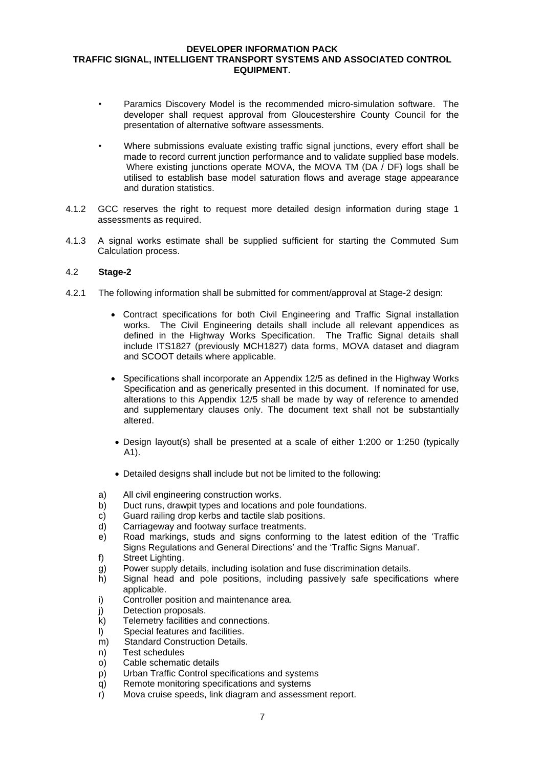- Paramics Discovery Model is the recommended micro-simulation software. The developer shall request approval from Gloucestershire County Council for the presentation of alternative software assessments.
- Where submissions evaluate existing traffic signal junctions, every effort shall be made to record current junction performance and to validate supplied base models. Where existing junctions operate MOVA, the MOVA TM (DA / DF) logs shall be utilised to establish base model saturation flows and average stage appearance and duration statistics.
- 4.1.2 GCC reserves the right to request more detailed design information during stage 1 assessments as required.
- 4.1.3 A signal works estimate shall be supplied sufficient for starting the Commuted Sum Calculation process.

## 4.2 **Stage-2**

- 4.2.1 The following information shall be submitted for comment/approval at Stage-2 design:
	- Contract specifications for both Civil Engineering and Traffic Signal installation works. The Civil Engineering details shall include all relevant appendices as defined in the Highway Works Specification. The Traffic Signal details shall include ITS1827 (previously MCH1827) data forms, MOVA dataset and diagram and SCOOT details where applicable.
	- Specifications shall incorporate an Appendix 12/5 as defined in the Highway Works Specification and as generically presented in this document. If nominated for use, alterations to this Appendix 12/5 shall be made by way of reference to amended and supplementary clauses only. The document text shall not be substantially altered.
	- Design layout(s) shall be presented at a scale of either 1:200 or 1:250 (typically A1).
	- Detailed designs shall include but not be limited to the following:
	- a) All civil engineering construction works.
	- b) Duct runs, drawpit types and locations and pole foundations.
	- c) Guard railing drop kerbs and tactile slab positions.
	- d) Carriageway and footway surface treatments.
	- e) Road markings, studs and signs conforming to the latest edition of the 'Traffic Signs Regulations and General Directions' and the 'Traffic Signs Manual'.
	- f) Street Lighting.
	- g) Power supply details, including isolation and fuse discrimination details.
	- h) Signal head and pole positions, including passively safe specifications where applicable.
	- i) Controller position and maintenance area.
	- j) Detection proposals.
	- k) Telemetry facilities and connections.
	- l) Special features and facilities.
	- m) Standard Construction Details.
	- n) Test schedules
	- o) Cable schematic details
	- p) Urban Traffic Control specifications and systems
	- q) Remote monitoring specifications and systems
	- r) Mova cruise speeds, link diagram and assessment report.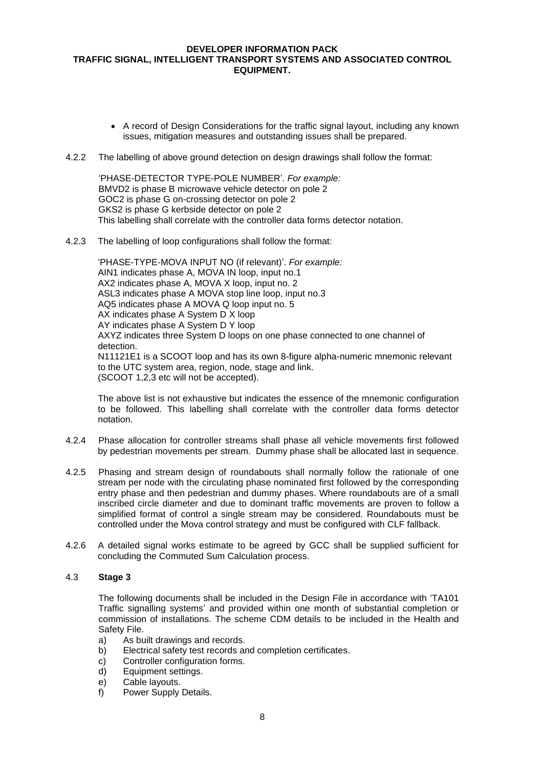- A record of Design Considerations for the traffic signal layout, including any known issues, mitigation measures and outstanding issues shall be prepared.
- 4.2.2 The labelling of above ground detection on design drawings shall follow the format:

'PHASE-DETECTOR TYPE-POLE NUMBER'. *For example:* BMVD2 is phase B microwave vehicle detector on pole 2 GOC2 is phase G on-crossing detector on pole 2 GKS2 is phase G kerbside detector on pole 2 This labelling shall correlate with the controller data forms detector notation.

4.2.3 The labelling of loop configurations shall follow the format:

'PHASE-TYPE-MOVA INPUT NO (if relevant)'. *For example:* AIN1 indicates phase A, MOVA IN loop, input no.1 AX2 indicates phase A, MOVA X loop, input no. 2 ASL3 indicates phase A MOVA stop line loop, input no.3 AQ5 indicates phase A MOVA Q loop input no. 5 AX indicates phase A System D X loop AY indicates phase A System D Y loop AXYZ indicates three System D loops on one phase connected to one channel of detection. N11121E1 is a SCOOT loop and has its own 8-figure alpha-numeric mnemonic relevant to the UTC system area, region, node, stage and link. (SCOOT 1,2,3 etc will not be accepted).

The above list is not exhaustive but indicates the essence of the mnemonic configuration to be followed. This labelling shall correlate with the controller data forms detector notation.

- 4.2.4 Phase allocation for controller streams shall phase all vehicle movements first followed by pedestrian movements per stream. Dummy phase shall be allocated last in sequence.
- 4.2.5 Phasing and stream design of roundabouts shall normally follow the rationale of one stream per node with the circulating phase nominated first followed by the corresponding entry phase and then pedestrian and dummy phases. Where roundabouts are of a small inscribed circle diameter and due to dominant traffic movements are proven to follow a simplified format of control a single stream may be considered. Roundabouts must be controlled under the Mova control strategy and must be configured with CLF fallback.
- 4.2.6 A detailed signal works estimate to be agreed by GCC shall be supplied sufficient for concluding the Commuted Sum Calculation process.

# 4.3 **Stage 3**

The following documents shall be included in the Design File in accordance with 'TA101 Traffic signalling systems' and provided within one month of substantial completion or commission of installations. The scheme CDM details to be included in the Health and Safety File.

- a) As built drawings and records.
- b) Electrical safety test records and completion certificates.
- c) Controller configuration forms.
- d) Equipment settings.
- e) Cable layouts.<br>f) Power Supply
- Power Supply Details.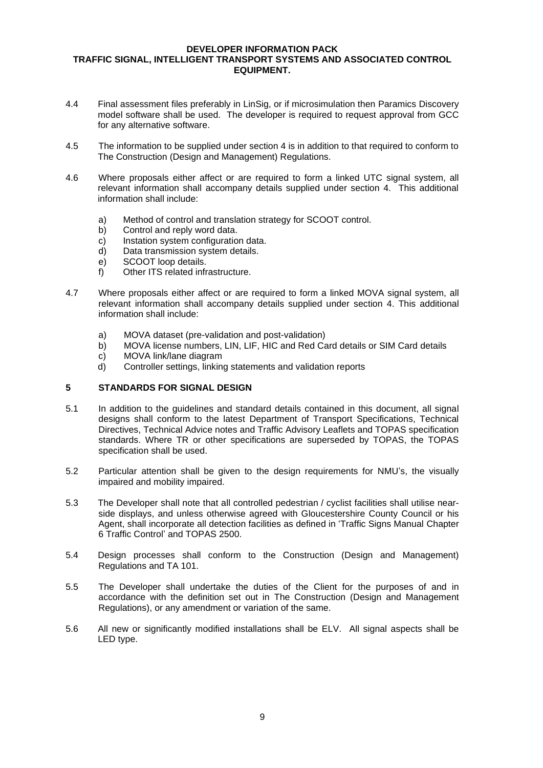- 4.4 Final assessment files preferably in LinSig, or if microsimulation then Paramics Discovery model software shall be used. The developer is required to request approval from GCC for any alternative software.
- 4.5 The information to be supplied under section 4 is in addition to that required to conform to The Construction (Design and Management) Regulations.
- 4.6 Where proposals either affect or are required to form a linked UTC signal system, all relevant information shall accompany details supplied under section 4. This additional information shall include:
	- a) Method of control and translation strategy for SCOOT control.
	- b) Control and reply word data.
	- c) Instation system configuration data.
	- d) Data transmission system details.
	- e) SCOOT loop details.
	- f) Other ITS related infrastructure.
- 4.7 Where proposals either affect or are required to form a linked MOVA signal system, all relevant information shall accompany details supplied under section 4. This additional information shall include:
	- a) MOVA dataset (pre-validation and post-validation)
	- b) MOVA license numbers, LIN, LIF, HIC and Red Card details or SIM Card details
	- c) MOVA link/lane diagram
	- d) Controller settings, linking statements and validation reports

# **5 STANDARDS FOR SIGNAL DESIGN**

- 5.1 In addition to the guidelines and standard details contained in this document, all signal designs shall conform to the latest Department of Transport Specifications, Technical Directives, Technical Advice notes and Traffic Advisory Leaflets and TOPAS specification standards. Where TR or other specifications are superseded by TOPAS, the TOPAS specification shall be used.
- 5.2 Particular attention shall be given to the design requirements for NMU's, the visually impaired and mobility impaired.
- 5.3 The Developer shall note that all controlled pedestrian / cyclist facilities shall utilise nearside displays, and unless otherwise agreed with Gloucestershire County Council or his Agent, shall incorporate all detection facilities as defined in 'Traffic Signs Manual Chapter 6 Traffic Control' and TOPAS 2500.
- 5.4 Design processes shall conform to the Construction (Design and Management) Regulations and TA 101.
- 5.5 The Developer shall undertake the duties of the Client for the purposes of and in accordance with the definition set out in The Construction (Design and Management Regulations), or any amendment or variation of the same.
- 5.6 All new or significantly modified installations shall be ELV. All signal aspects shall be LED type.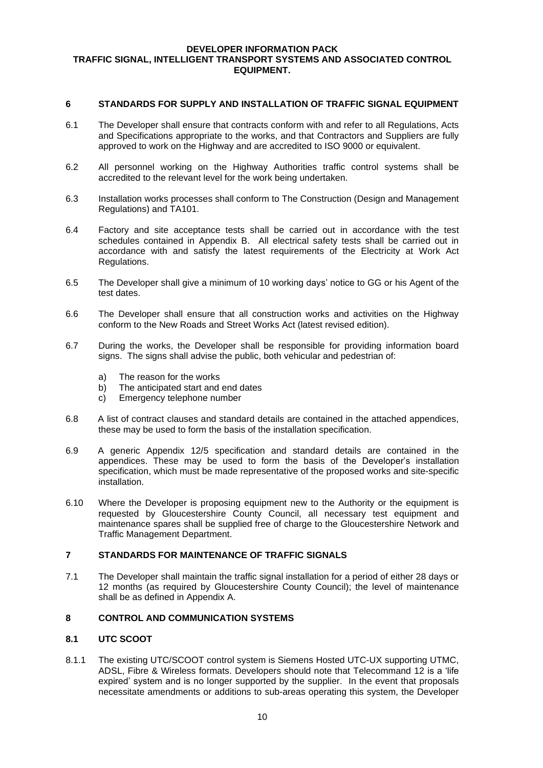#### **6 STANDARDS FOR SUPPLY AND INSTALLATION OF TRAFFIC SIGNAL EQUIPMENT**

- 6.1 The Developer shall ensure that contracts conform with and refer to all Regulations, Acts and Specifications appropriate to the works, and that Contractors and Suppliers are fully approved to work on the Highway and are accredited to ISO 9000 or equivalent.
- 6.2 All personnel working on the Highway Authorities traffic control systems shall be accredited to the relevant level for the work being undertaken.
- 6.3 Installation works processes shall conform to The Construction (Design and Management Regulations) and TA101.
- 6.4 Factory and site acceptance tests shall be carried out in accordance with the test schedules contained in Appendix B. All electrical safety tests shall be carried out in accordance with and satisfy the latest requirements of the Electricity at Work Act Regulations.
- 6.5 The Developer shall give a minimum of 10 working days' notice to GG or his Agent of the test dates.
- 6.6 The Developer shall ensure that all construction works and activities on the Highway conform to the New Roads and Street Works Act (latest revised edition).
- 6.7 During the works, the Developer shall be responsible for providing information board signs. The signs shall advise the public, both vehicular and pedestrian of:
	- a) The reason for the works
	- b) The anticipated start and end dates
	- c) Emergency telephone number
- 6.8 A list of contract clauses and standard details are contained in the attached appendices, these may be used to form the basis of the installation specification.
- 6.9 A generic Appendix 12/5 specification and standard details are contained in the appendices. These may be used to form the basis of the Developer's installation specification, which must be made representative of the proposed works and site-specific installation.
- 6.10 Where the Developer is proposing equipment new to the Authority or the equipment is requested by Gloucestershire County Council, all necessary test equipment and maintenance spares shall be supplied free of charge to the Gloucestershire Network and Traffic Management Department.

# **7 STANDARDS FOR MAINTENANCE OF TRAFFIC SIGNALS**

7.1 The Developer shall maintain the traffic signal installation for a period of either 28 days or 12 months (as required by Gloucestershire County Council); the level of maintenance shall be as defined in Appendix A.

# **8 CONTROL AND COMMUNICATION SYSTEMS**

# **8.1 UTC SCOOT**

8.1.1 The existing UTC/SCOOT control system is Siemens Hosted UTC-UX supporting UTMC, ADSL, Fibre & Wireless formats. Developers should note that Telecommand 12 is a 'life expired' system and is no longer supported by the supplier. In the event that proposals necessitate amendments or additions to sub-areas operating this system, the Developer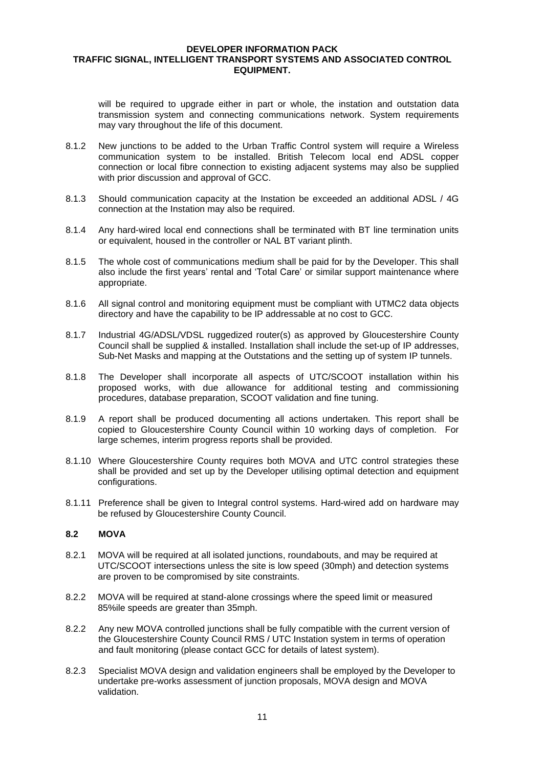will be required to upgrade either in part or whole, the instation and outstation data transmission system and connecting communications network. System requirements may vary throughout the life of this document.

- 8.1.2 New junctions to be added to the Urban Traffic Control system will require a Wireless communication system to be installed. British Telecom local end ADSL copper connection or local fibre connection to existing adjacent systems may also be supplied with prior discussion and approval of GCC.
- 8.1.3 Should communication capacity at the Instation be exceeded an additional ADSL / 4G connection at the Instation may also be required.
- 8.1.4 Any hard-wired local end connections shall be terminated with BT line termination units or equivalent, housed in the controller or NAL BT variant plinth.
- 8.1.5 The whole cost of communications medium shall be paid for by the Developer. This shall also include the first years' rental and 'Total Care' or similar support maintenance where appropriate.
- 8.1.6 All signal control and monitoring equipment must be compliant with UTMC2 data objects directory and have the capability to be IP addressable at no cost to GCC.
- 8.1.7 Industrial 4G/ADSL/VDSL ruggedized router(s) as approved by Gloucestershire County Council shall be supplied & installed. Installation shall include the set-up of IP addresses, Sub-Net Masks and mapping at the Outstations and the setting up of system IP tunnels.
- 8.1.8 The Developer shall incorporate all aspects of UTC/SCOOT installation within his proposed works, with due allowance for additional testing and commissioning procedures, database preparation, SCOOT validation and fine tuning.
- 8.1.9 A report shall be produced documenting all actions undertaken. This report shall be copied to Gloucestershire County Council within 10 working days of completion. For large schemes, interim progress reports shall be provided.
- 8.1.10 Where Gloucestershire County requires both MOVA and UTC control strategies these shall be provided and set up by the Developer utilising optimal detection and equipment configurations.
- 8.1.11 Preference shall be given to Integral control systems. Hard-wired add on hardware may be refused by Gloucestershire County Council.

## **8.2 MOVA**

- 8.2.1 MOVA will be required at all isolated junctions, roundabouts, and may be required at UTC/SCOOT intersections unless the site is low speed (30mph) and detection systems are proven to be compromised by site constraints.
- 8.2.2 MOVA will be required at stand-alone crossings where the speed limit or measured 85%ile speeds are greater than 35mph.
- 8.2.2 Any new MOVA controlled junctions shall be fully compatible with the current version of the Gloucestershire County Council RMS / UTC Instation system in terms of operation and fault monitoring (please contact GCC for details of latest system).
- 8.2.3 Specialist MOVA design and validation engineers shall be employed by the Developer to undertake pre-works assessment of junction proposals, MOVA design and MOVA validation.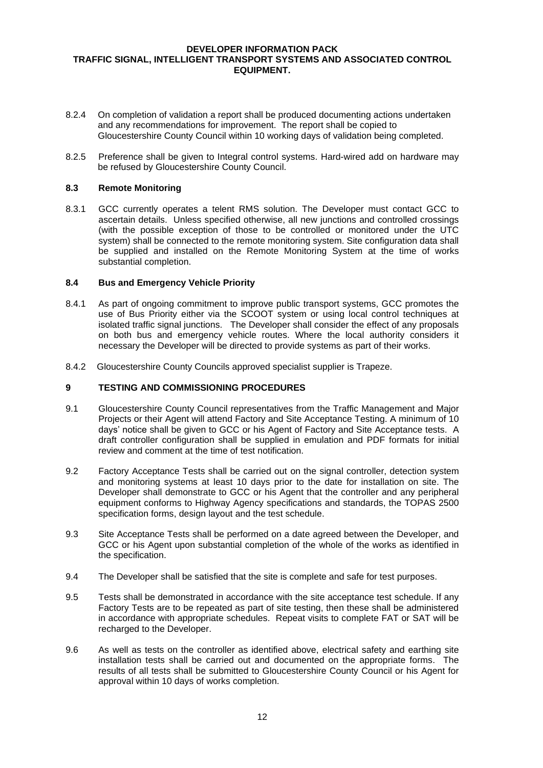- 8.2.4 On completion of validation a report shall be produced documenting actions undertaken and any recommendations for improvement. The report shall be copied to Gloucestershire County Council within 10 working days of validation being completed.
- 8.2.5 Preference shall be given to Integral control systems. Hard-wired add on hardware may be refused by Gloucestershire County Council.

# **8.3 Remote Monitoring**

8.3.1 GCC currently operates a telent RMS solution. The Developer must contact GCC to ascertain details. Unless specified otherwise, all new junctions and controlled crossings (with the possible exception of those to be controlled or monitored under the UTC system) shall be connected to the remote monitoring system. Site configuration data shall be supplied and installed on the Remote Monitoring System at the time of works substantial completion.

## **8.4 Bus and Emergency Vehicle Priority**

- 8.4.1 As part of ongoing commitment to improve public transport systems, GCC promotes the use of Bus Priority either via the SCOOT system or using local control techniques at isolated traffic signal junctions. The Developer shall consider the effect of any proposals on both bus and emergency vehicle routes. Where the local authority considers it necessary the Developer will be directed to provide systems as part of their works.
- 8.4.2 Gloucestershire County Councils approved specialist supplier is Trapeze.

# **9 TESTING AND COMMISSIONING PROCEDURES**

- 9.1 Gloucestershire County Council representatives from the Traffic Management and Major Projects or their Agent will attend Factory and Site Acceptance Testing. A minimum of 10 days' notice shall be given to GCC or his Agent of Factory and Site Acceptance tests. A draft controller configuration shall be supplied in emulation and PDF formats for initial review and comment at the time of test notification.
- 9.2 Factory Acceptance Tests shall be carried out on the signal controller, detection system and monitoring systems at least 10 days prior to the date for installation on site. The Developer shall demonstrate to GCC or his Agent that the controller and any peripheral equipment conforms to Highway Agency specifications and standards, the TOPAS 2500 specification forms, design layout and the test schedule.
- 9.3 Site Acceptance Tests shall be performed on a date agreed between the Developer, and GCC or his Agent upon substantial completion of the whole of the works as identified in the specification.
- 9.4 The Developer shall be satisfied that the site is complete and safe for test purposes.
- 9.5 Tests shall be demonstrated in accordance with the site acceptance test schedule. If any Factory Tests are to be repeated as part of site testing, then these shall be administered in accordance with appropriate schedules. Repeat visits to complete FAT or SAT will be recharged to the Developer.
- 9.6 As well as tests on the controller as identified above, electrical safety and earthing site installation tests shall be carried out and documented on the appropriate forms. The results of all tests shall be submitted to Gloucestershire County Council or his Agent for approval within 10 days of works completion.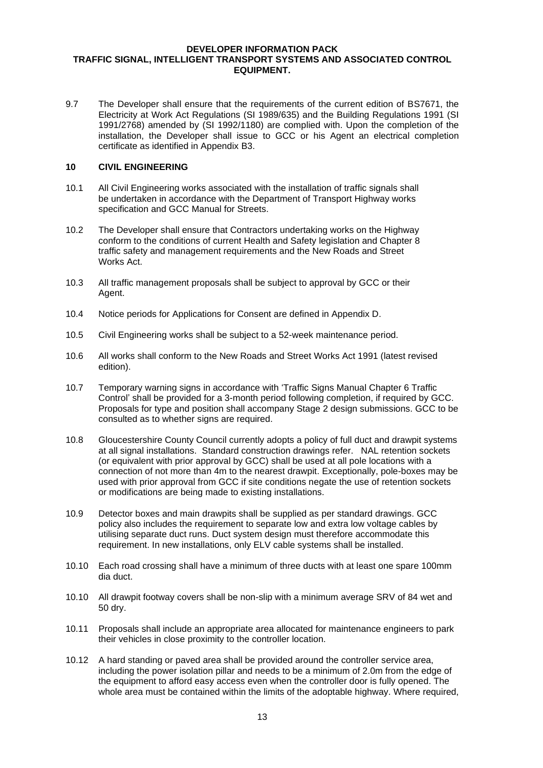9.7 The Developer shall ensure that the requirements of the current edition of BS7671, the Electricity at Work Act Regulations (SI 1989/635) and the Building Regulations 1991 (SI 1991/2768) amended by (SI 1992/1180) are complied with. Upon the completion of the installation, the Developer shall issue to GCC or his Agent an electrical completion certificate as identified in Appendix B3.

## **10 CIVIL ENGINEERING**

- 10.1 All Civil Engineering works associated with the installation of traffic signals shall be undertaken in accordance with the Department of Transport Highway works specification and GCC Manual for Streets.
- 10.2 The Developer shall ensure that Contractors undertaking works on the Highway conform to the conditions of current Health and Safety legislation and Chapter 8 traffic safety and management requirements and the New Roads and Street Works Act.
- 10.3 All traffic management proposals shall be subject to approval by GCC or their Agent.
- 10.4 Notice periods for Applications for Consent are defined in Appendix D.
- 10.5 Civil Engineering works shall be subject to a 52-week maintenance period.
- 10.6 All works shall conform to the New Roads and Street Works Act 1991 (latest revised edition).
- 10.7 Temporary warning signs in accordance with 'Traffic Signs Manual Chapter 6 Traffic Control' shall be provided for a 3-month period following completion, if required by GCC. Proposals for type and position shall accompany Stage 2 design submissions. GCC to be consulted as to whether signs are required.
- 10.8 Gloucestershire County Council currently adopts a policy of full duct and drawpit systems at all signal installations. Standard construction drawings refer. NAL retention sockets (or equivalent with prior approval by GCC) shall be used at all pole locations with a connection of not more than 4m to the nearest drawpit. Exceptionally, pole-boxes may be used with prior approval from GCC if site conditions negate the use of retention sockets or modifications are being made to existing installations.
- 10.9 Detector boxes and main drawpits shall be supplied as per standard drawings. GCC policy also includes the requirement to separate low and extra low voltage cables by utilising separate duct runs. Duct system design must therefore accommodate this requirement. In new installations, only ELV cable systems shall be installed.
- 10.10 Each road crossing shall have a minimum of three ducts with at least one spare 100mm dia duct.
- 10.10 All drawpit footway covers shall be non-slip with a minimum average SRV of 84 wet and 50 dry.
- 10.11 Proposals shall include an appropriate area allocated for maintenance engineers to park their vehicles in close proximity to the controller location.
- 10.12 A hard standing or paved area shall be provided around the controller service area, including the power isolation pillar and needs to be a minimum of 2.0m from the edge of the equipment to afford easy access even when the controller door is fully opened. The whole area must be contained within the limits of the adoptable highway. Where required,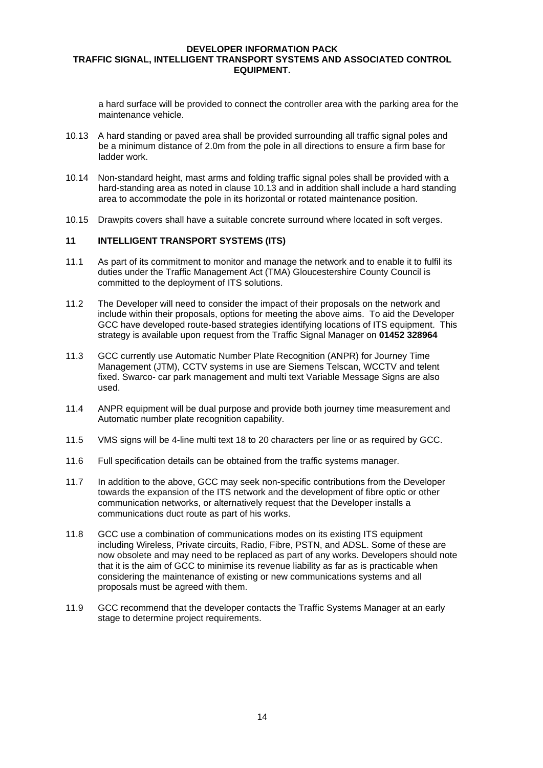a hard surface will be provided to connect the controller area with the parking area for the maintenance vehicle.

- 10.13 A hard standing or paved area shall be provided surrounding all traffic signal poles and be a minimum distance of 2.0m from the pole in all directions to ensure a firm base for ladder work.
- 10.14 Non-standard height, mast arms and folding traffic signal poles shall be provided with a hard-standing area as noted in clause 10.13 and in addition shall include a hard standing area to accommodate the pole in its horizontal or rotated maintenance position.
- 10.15 Drawpits covers shall have a suitable concrete surround where located in soft verges.

#### **11 INTELLIGENT TRANSPORT SYSTEMS (ITS)**

- 11.1 As part of its commitment to monitor and manage the network and to enable it to fulfil its duties under the Traffic Management Act (TMA) Gloucestershire County Council is committed to the deployment of ITS solutions.
- 11.2 The Developer will need to consider the impact of their proposals on the network and include within their proposals, options for meeting the above aims. To aid the Developer GCC have developed route-based strategies identifying locations of ITS equipment. This strategy is available upon request from the Traffic Signal Manager on **01452 328964**
- 11.3 GCC currently use Automatic Number Plate Recognition (ANPR) for Journey Time Management (JTM), CCTV systems in use are Siemens Telscan, WCCTV and telent fixed. Swarco- car park management and multi text Variable Message Signs are also used.
- 11.4 ANPR equipment will be dual purpose and provide both journey time measurement and Automatic number plate recognition capability.
- 11.5 VMS signs will be 4-line multi text 18 to 20 characters per line or as required by GCC.
- 11.6 Full specification details can be obtained from the traffic systems manager.
- 11.7 In addition to the above, GCC may seek non-specific contributions from the Developer towards the expansion of the ITS network and the development of fibre optic or other communication networks, or alternatively request that the Developer installs a communications duct route as part of his works.
- 11.8 GCC use a combination of communications modes on its existing ITS equipment including Wireless, Private circuits, Radio, Fibre, PSTN, and ADSL. Some of these are now obsolete and may need to be replaced as part of any works. Developers should note that it is the aim of GCC to minimise its revenue liability as far as is practicable when considering the maintenance of existing or new communications systems and all proposals must be agreed with them.
- 11.9 GCC recommend that the developer contacts the Traffic Systems Manager at an early stage to determine project requirements.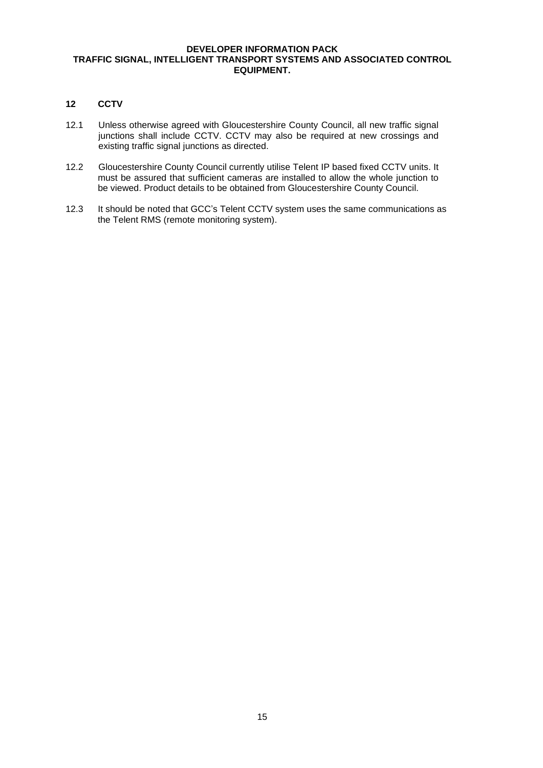# **12 CCTV**

- 12.1 Unless otherwise agreed with Gloucestershire County Council, all new traffic signal junctions shall include CCTV. CCTV may also be required at new crossings and existing traffic signal junctions as directed.
- 12.2 Gloucestershire County Council currently utilise Telent IP based fixed CCTV units. It must be assured that sufficient cameras are installed to allow the whole junction to be viewed. Product details to be obtained from Gloucestershire County Council.
- 12.3 It should be noted that GCC's Telent CCTV system uses the same communications as the Telent RMS (remote monitoring system).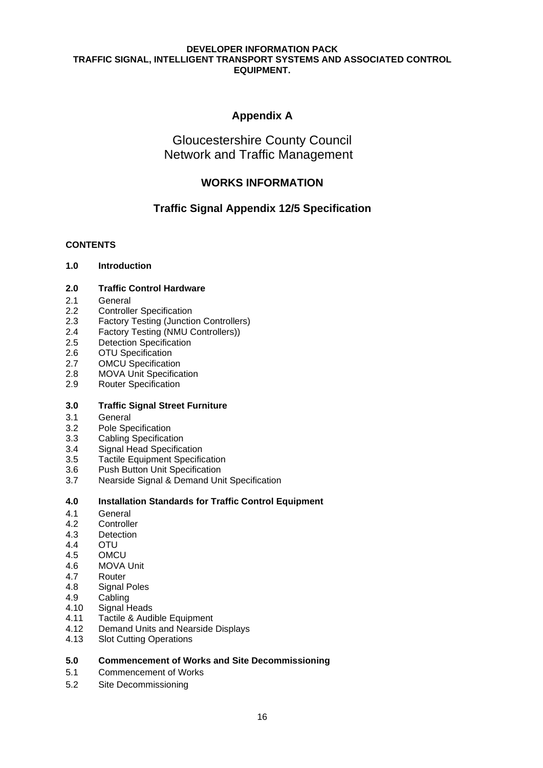# **Appendix A**

# Gloucestershire County Council Network and Traffic Management

# **WORKS INFORMATION**

# **Traffic Signal Appendix 12/5 Specification**

# **CONTENTS**

# **1.0 Introduction**

# **2.0 Traffic Control Hardware**

- 2.1 General
- 2.2 Controller Specification
- 2.3 Factory Testing (Junction Controllers)
- 2.4 Factory Testing (NMU Controllers))
- 2.5 Detection Specification
- 2.6 OTU Specification
- 2.7 OMCU Specification
- 2.8 MOVA Unit Specification
- 2.9 Router Specification

# **3.0 Traffic Signal Street Furniture**

- 3.1 General
- 3.2 Pole Specification
- 3.3 Cabling Specification
- 3.4 Signal Head Specification
- 3.5 Tactile Equipment Specification
- 3.6 Push Button Unit Specification
- 3.7 Nearside Signal & Demand Unit Specification

# **4.0 Installation Standards for Traffic Control Equipment**

- 4.1 General<br>4.2 Controlle
- **Controller**
- 4.3 Detection
- 4.4 OTU
- 4.5 OMCU
- 4.6 MOVA Unit
- 4.7 Router
- 4.8 Signal Poles
- 4.9 Cabling
- 4.10 Signal Heads
- 4.11 Tactile & Audible Equipment
- 4.12 Demand Units and Nearside Displays
- 4.13 Slot Cutting Operations

# **5.0 Commencement of Works and Site Decommissioning**

- 5.1 Commencement of Works
- 5.2 Site Decommissioning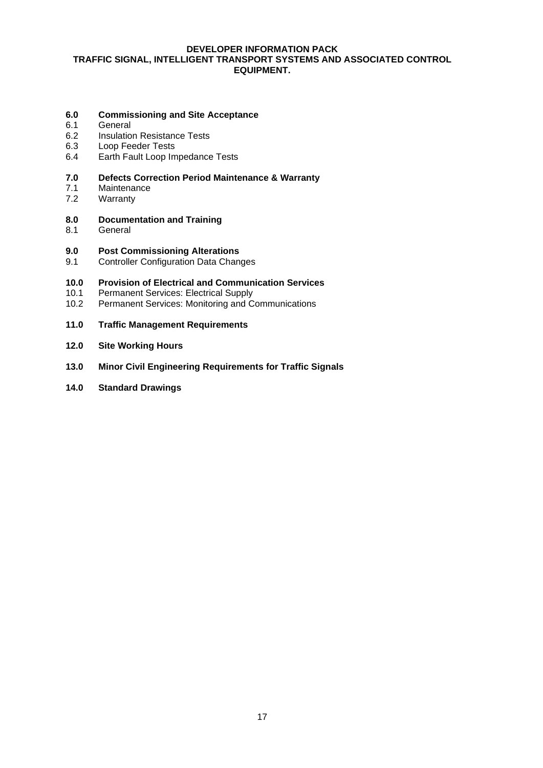# **6.0 Commissioning and Site Acceptance**

- 6.1 General
- 6.2 Insulation Resistance Tests
- 6.3 Loop Feeder Tests
- 6.4 Earth Fault Loop Impedance Tests

# **7.0 Defects Correction Period Maintenance & Warranty**

- 7.1 Maintenance<br>7.2 Warranty
- Warranty
- **8.0 Documentation and Training**
- 8.1 General

## **9.0 Post Commissioning Alterations**

9.1 Controller Configuration Data Changes

# **10.0 Provision of Electrical and Communication Services**

- Permanent Services: Electrical Supply
- 10.2 Permanent Services: Monitoring and Communications
- **11.0 Traffic Management Requirements**
- **12.0 Site Working Hours**
- **13.0 Minor Civil Engineering Requirements for Traffic Signals**
- **14.0 Standard Drawings**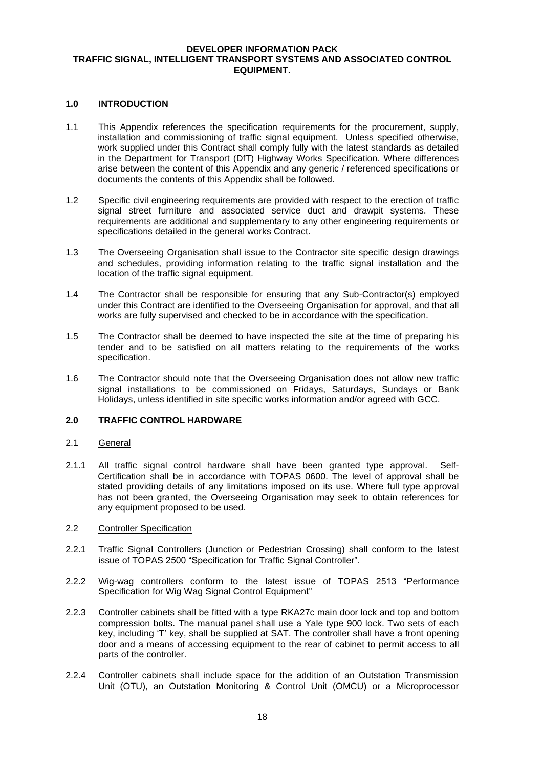#### **1.0 INTRODUCTION**

- 1.1 This Appendix references the specification requirements for the procurement, supply, installation and commissioning of traffic signal equipment. Unless specified otherwise, work supplied under this Contract shall comply fully with the latest standards as detailed in the Department for Transport (DfT) Highway Works Specification. Where differences arise between the content of this Appendix and any generic / referenced specifications or documents the contents of this Appendix shall be followed.
- 1.2 Specific civil engineering requirements are provided with respect to the erection of traffic signal street furniture and associated service duct and drawpit systems. These requirements are additional and supplementary to any other engineering requirements or specifications detailed in the general works Contract.
- 1.3 The Overseeing Organisation shall issue to the Contractor site specific design drawings and schedules, providing information relating to the traffic signal installation and the location of the traffic signal equipment.
- 1.4 The Contractor shall be responsible for ensuring that any Sub-Contractor(s) employed under this Contract are identified to the Overseeing Organisation for approval, and that all works are fully supervised and checked to be in accordance with the specification.
- 1.5 The Contractor shall be deemed to have inspected the site at the time of preparing his tender and to be satisfied on all matters relating to the requirements of the works specification.
- 1.6 The Contractor should note that the Overseeing Organisation does not allow new traffic signal installations to be commissioned on Fridays, Saturdays, Sundays or Bank Holidays, unless identified in site specific works information and/or agreed with GCC.

## **2.0 TRAFFIC CONTROL HARDWARE**

#### 2.1 General

2.1.1 All traffic signal control hardware shall have been granted type approval. Self-Certification shall be in accordance with TOPAS 0600. The level of approval shall be stated providing details of any limitations imposed on its use. Where full type approval has not been granted, the Overseeing Organisation may seek to obtain references for any equipment proposed to be used.

#### 2.2 Controller Specification

- 2.2.1 Traffic Signal Controllers (Junction or Pedestrian Crossing) shall conform to the latest issue of TOPAS 2500 "Specification for Traffic Signal Controller".
- 2.2.2 Wig-wag controllers conform to the latest issue of TOPAS 2513 "Performance Specification for Wig Wag Signal Control Equipment''
- 2.2.3 Controller cabinets shall be fitted with a type RKA27c main door lock and top and bottom compression bolts. The manual panel shall use a Yale type 900 lock. Two sets of each key, including 'T' key, shall be supplied at SAT. The controller shall have a front opening door and a means of accessing equipment to the rear of cabinet to permit access to all parts of the controller.
- 2.2.4 Controller cabinets shall include space for the addition of an Outstation Transmission Unit (OTU), an Outstation Monitoring & Control Unit (OMCU) or a Microprocessor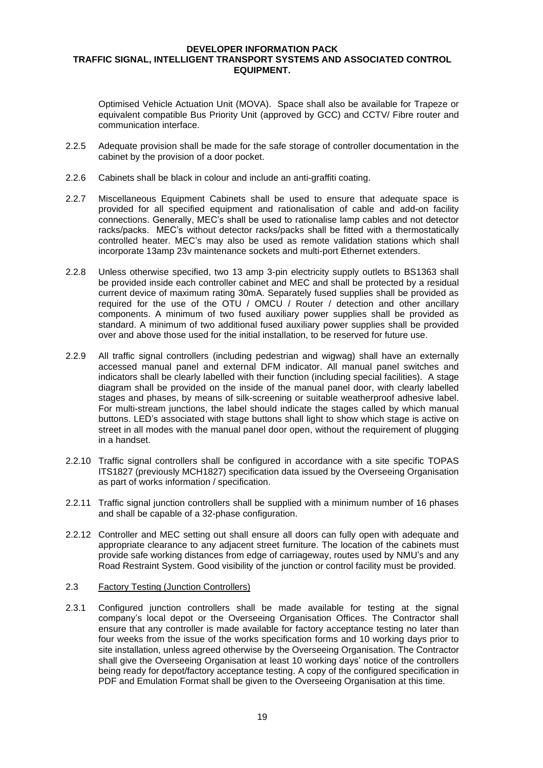Optimised Vehicle Actuation Unit (MOVA). Space shall also be available for Trapeze or equivalent compatible Bus Priority Unit (approved by GCC) and CCTV/ Fibre router and communication interface.

- 2.2.5 Adequate provision shall be made for the safe storage of controller documentation in the cabinet by the provision of a door pocket.
- 2.2.6 Cabinets shall be black in colour and include an anti-graffiti coating.
- 2.2.7 Miscellaneous Equipment Cabinets shall be used to ensure that adequate space is provided for all specified equipment and rationalisation of cable and add-on facility connections. Generally, MEC's shall be used to rationalise lamp cables and not detector racks/packs. MEC's without detector racks/packs shall be fitted with a thermostatically controlled heater. MEC's may also be used as remote validation stations which shall incorporate 13amp 23v maintenance sockets and multi-port Ethernet extenders.
- 2.2.8 Unless otherwise specified, two 13 amp 3-pin electricity supply outlets to BS1363 shall be provided inside each controller cabinet and MEC and shall be protected by a residual current device of maximum rating 30mA. Separately fused supplies shall be provided as required for the use of the OTU / OMCU / Router / detection and other ancillary components. A minimum of two fused auxiliary power supplies shall be provided as standard. A minimum of two additional fused auxiliary power supplies shall be provided over and above those used for the initial installation, to be reserved for future use.
- 2.2.9 All traffic signal controllers (including pedestrian and wigwag) shall have an externally accessed manual panel and external DFM indicator. All manual panel switches and indicators shall be clearly labelled with their function (including special facilities). A stage diagram shall be provided on the inside of the manual panel door, with clearly labelled stages and phases, by means of silk-screening or suitable weatherproof adhesive label. For multi-stream junctions, the label should indicate the stages called by which manual buttons. LED's associated with stage buttons shall light to show which stage is active on street in all modes with the manual panel door open, without the requirement of plugging in a handset.
- 2.2.10 Traffic signal controllers shall be configured in accordance with a site specific TOPAS ITS1827 (previously MCH1827) specification data issued by the Overseeing Organisation as part of works information / specification.
- 2.2.11 Traffic signal junction controllers shall be supplied with a minimum number of 16 phases and shall be capable of a 32-phase configuration.
- 2.2.12 Controller and MEC setting out shall ensure all doors can fully open with adequate and appropriate clearance to any adjacent street furniture. The location of the cabinets must provide safe working distances from edge of carriageway, routes used by NMU's and any Road Restraint System. Good visibility of the junction or control facility must be provided.

#### 2.3 Factory Testing (Junction Controllers)

2.3.1 Configured junction controllers shall be made available for testing at the signal company's local depot or the Overseeing Organisation Offices. The Contractor shall ensure that any controller is made available for factory acceptance testing no later than four weeks from the issue of the works specification forms and 10 working days prior to site installation, unless agreed otherwise by the Overseeing Organisation. The Contractor shall give the Overseeing Organisation at least 10 working days' notice of the controllers being ready for depot/factory acceptance testing. A copy of the configured specification in PDF and Emulation Format shall be given to the Overseeing Organisation at this time.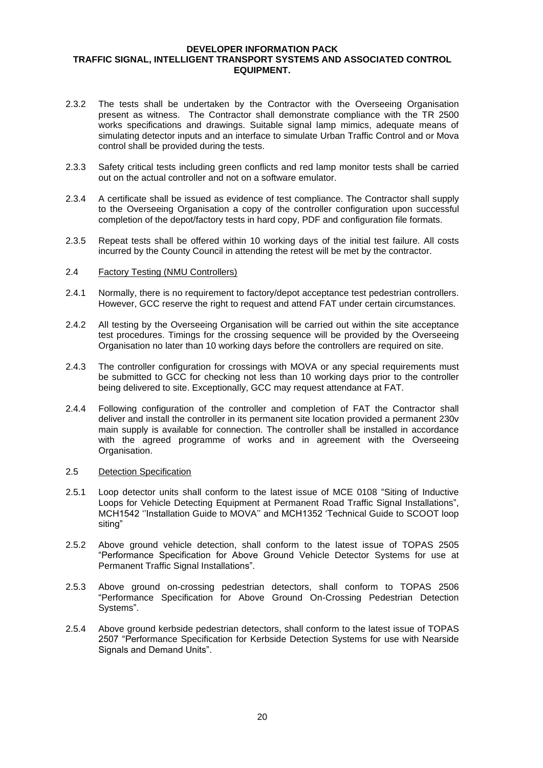- 2.3.2 The tests shall be undertaken by the Contractor with the Overseeing Organisation present as witness. The Contractor shall demonstrate compliance with the TR 2500 works specifications and drawings. Suitable signal lamp mimics, adequate means of simulating detector inputs and an interface to simulate Urban Traffic Control and or Mova control shall be provided during the tests.
- 2.3.3 Safety critical tests including green conflicts and red lamp monitor tests shall be carried out on the actual controller and not on a software emulator.
- 2.3.4 A certificate shall be issued as evidence of test compliance. The Contractor shall supply to the Overseeing Organisation a copy of the controller configuration upon successful completion of the depot/factory tests in hard copy, PDF and configuration file formats.
- 2.3.5 Repeat tests shall be offered within 10 working days of the initial test failure. All costs incurred by the County Council in attending the retest will be met by the contractor.
- 2.4 Factory Testing (NMU Controllers)
- 2.4.1 Normally, there is no requirement to factory/depot acceptance test pedestrian controllers. However, GCC reserve the right to request and attend FAT under certain circumstances.
- 2.4.2 All testing by the Overseeing Organisation will be carried out within the site acceptance test procedures. Timings for the crossing sequence will be provided by the Overseeing Organisation no later than 10 working days before the controllers are required on site.
- 2.4.3 The controller configuration for crossings with MOVA or any special requirements must be submitted to GCC for checking not less than 10 working days prior to the controller being delivered to site. Exceptionally, GCC may request attendance at FAT.
- 2.4.4 Following configuration of the controller and completion of FAT the Contractor shall deliver and install the controller in its permanent site location provided a permanent 230v main supply is available for connection. The controller shall be installed in accordance with the agreed programme of works and in agreement with the Overseeing Organisation.

#### 2.5 Detection Specification

- 2.5.1 Loop detector units shall conform to the latest issue of MCE 0108 "Siting of Inductive Loops for Vehicle Detecting Equipment at Permanent Road Traffic Signal Installations", MCH1542 ''Installation Guide to MOVA'' and MCH1352 'Technical Guide to SCOOT loop siting"
- 2.5.2 Above ground vehicle detection, shall conform to the latest issue of TOPAS 2505 "Performance Specification for Above Ground Vehicle Detector Systems for use at Permanent Traffic Signal Installations".
- 2.5.3 Above ground on-crossing pedestrian detectors, shall conform to TOPAS 2506 "Performance Specification for Above Ground On-Crossing Pedestrian Detection Systems".
- 2.5.4 Above ground kerbside pedestrian detectors, shall conform to the latest issue of TOPAS 2507 "Performance Specification for Kerbside Detection Systems for use with Nearside Signals and Demand Units".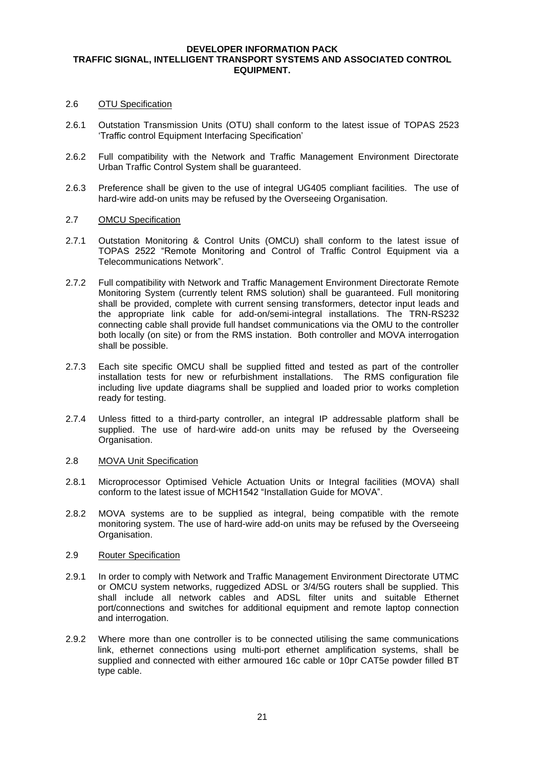#### 2.6 OTU Specification

- 2.6.1 Outstation Transmission Units (OTU) shall conform to the latest issue of TOPAS 2523 'Traffic control Equipment Interfacing Specification'
- 2.6.2 Full compatibility with the Network and Traffic Management Environment Directorate Urban Traffic Control System shall be guaranteed.
- 2.6.3 Preference shall be given to the use of integral UG405 compliant facilities. The use of hard-wire add-on units may be refused by the Overseeing Organisation.

# 2.7 OMCU Specification

- 2.7.1 Outstation Monitoring & Control Units (OMCU) shall conform to the latest issue of TOPAS 2522 "Remote Monitoring and Control of Traffic Control Equipment via a Telecommunications Network".
- 2.7.2 Full compatibility with Network and Traffic Management Environment Directorate Remote Monitoring System (currently telent RMS solution) shall be guaranteed. Full monitoring shall be provided, complete with current sensing transformers, detector input leads and the appropriate link cable for add-on/semi-integral installations. The TRN-RS232 connecting cable shall provide full handset communications via the OMU to the controller both locally (on site) or from the RMS instation. Both controller and MOVA interrogation shall be possible.
- 2.7.3 Each site specific OMCU shall be supplied fitted and tested as part of the controller installation tests for new or refurbishment installations. The RMS configuration file including live update diagrams shall be supplied and loaded prior to works completion ready for testing.
- 2.7.4 Unless fitted to a third-party controller, an integral IP addressable platform shall be supplied. The use of hard-wire add-on units may be refused by the Overseeing Organisation.

#### 2.8 MOVA Unit Specification

- 2.8.1 Microprocessor Optimised Vehicle Actuation Units or Integral facilities (MOVA) shall conform to the latest issue of MCH1542 "Installation Guide for MOVA".
- 2.8.2 MOVA systems are to be supplied as integral, being compatible with the remote monitoring system. The use of hard-wire add-on units may be refused by the Overseeing Organisation.

#### 2.9 Router Specification

- 2.9.1 In order to comply with Network and Traffic Management Environment Directorate UTMC or OMCU system networks, ruggedized ADSL or 3/4/5G routers shall be supplied. This shall include all network cables and ADSL filter units and suitable Ethernet port/connections and switches for additional equipment and remote laptop connection and interrogation.
- 2.9.2 Where more than one controller is to be connected utilising the same communications link, ethernet connections using multi-port ethernet amplification systems, shall be supplied and connected with either armoured 16c cable or 10pr CAT5e powder filled BT type cable.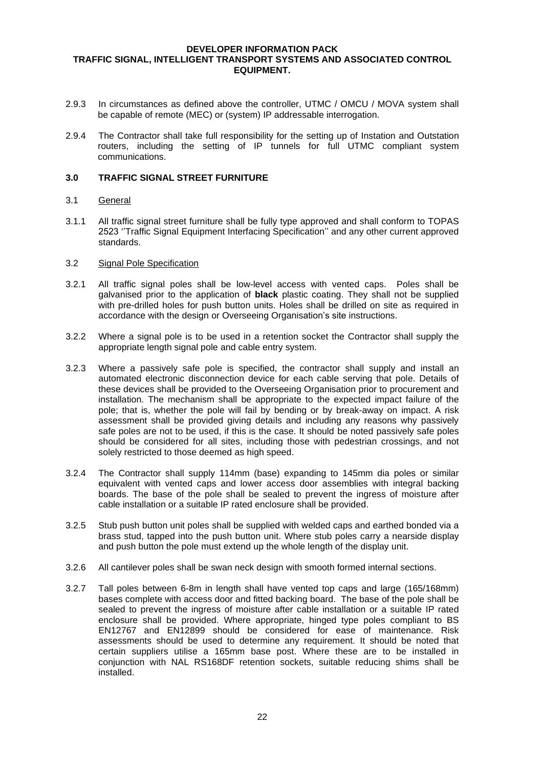- 2.9.3 In circumstances as defined above the controller, UTMC / OMCU / MOVA system shall be capable of remote (MEC) or (system) IP addressable interrogation.
- 2.9.4 The Contractor shall take full responsibility for the setting up of Instation and Outstation routers, including the setting of IP tunnels for full UTMC compliant system communications.

#### **3.0 TRAFFIC SIGNAL STREET FURNITURE**

## 3.1 General

3.1.1 All traffic signal street furniture shall be fully type approved and shall conform to TOPAS 2523 ''Traffic Signal Equipment Interfacing Specification'' and any other current approved standards.

## 3.2 Signal Pole Specification

- 3.2.1 All traffic signal poles shall be low-level access with vented caps. Poles shall be galvanised prior to the application of **black** plastic coating. They shall not be supplied with pre-drilled holes for push button units. Holes shall be drilled on site as required in accordance with the design or Overseeing Organisation's site instructions.
- 3.2.2 Where a signal pole is to be used in a retention socket the Contractor shall supply the appropriate length signal pole and cable entry system.
- 3.2.3 Where a passively safe pole is specified, the contractor shall supply and install an automated electronic disconnection device for each cable serving that pole. Details of these devices shall be provided to the Overseeing Organisation prior to procurement and installation. The mechanism shall be appropriate to the expected impact failure of the pole; that is, whether the pole will fail by bending or by break-away on impact. A risk assessment shall be provided giving details and including any reasons why passively safe poles are not to be used, if this is the case. It should be noted passively safe poles should be considered for all sites, including those with pedestrian crossings, and not solely restricted to those deemed as high speed.
- 3.2.4 The Contractor shall supply 114mm (base) expanding to 145mm dia poles or similar equivalent with vented caps and lower access door assemblies with integral backing boards. The base of the pole shall be sealed to prevent the ingress of moisture after cable installation or a suitable IP rated enclosure shall be provided.
- 3.2.5 Stub push button unit poles shall be supplied with welded caps and earthed bonded via a brass stud, tapped into the push button unit. Where stub poles carry a nearside display and push button the pole must extend up the whole length of the display unit.
- 3.2.6 All cantilever poles shall be swan neck design with smooth formed internal sections.
- 3.2.7 Tall poles between 6-8m in length shall have vented top caps and large (165/168mm) bases complete with access door and fitted backing board. The base of the pole shall be sealed to prevent the ingress of moisture after cable installation or a suitable IP rated enclosure shall be provided. Where appropriate, hinged type poles compliant to BS EN12767 and EN12899 should be considered for ease of maintenance. Risk assessments should be used to determine any requirement. It should be noted that certain suppliers utilise a 165mm base post. Where these are to be installed in conjunction with NAL RS168DF retention sockets, suitable reducing shims shall be installed.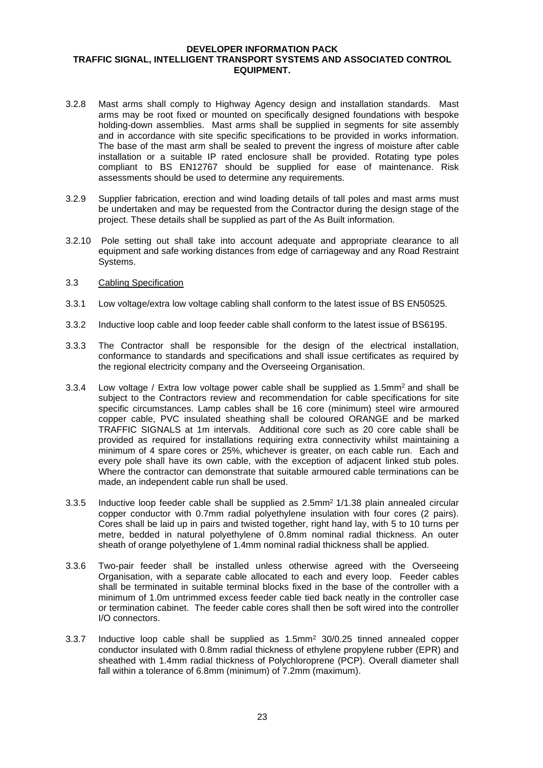- 3.2.8 Mast arms shall comply to Highway Agency design and installation standards. Mast arms may be root fixed or mounted on specifically designed foundations with bespoke holding-down assemblies. Mast arms shall be supplied in segments for site assembly and in accordance with site specific specifications to be provided in works information. The base of the mast arm shall be sealed to prevent the ingress of moisture after cable installation or a suitable IP rated enclosure shall be provided. Rotating type poles compliant to BS EN12767 should be supplied for ease of maintenance. Risk assessments should be used to determine any requirements.
- 3.2.9 Supplier fabrication, erection and wind loading details of tall poles and mast arms must be undertaken and may be requested from the Contractor during the design stage of the project. These details shall be supplied as part of the As Built information.
- 3.2.10 Pole setting out shall take into account adequate and appropriate clearance to all equipment and safe working distances from edge of carriageway and any Road Restraint Systems.
- 3.3 Cabling Specification
- 3.3.1 Low voltage/extra low voltage cabling shall conform to the latest issue of BS EN50525.
- 3.3.2 Inductive loop cable and loop feeder cable shall conform to the latest issue of BS6195.
- 3.3.3 The Contractor shall be responsible for the design of the electrical installation, conformance to standards and specifications and shall issue certificates as required by the regional electricity company and the Overseeing Organisation.
- 3.3.4 Low voltage / Extra low voltage power cable shall be supplied as 1.5mm<sup>2</sup> and shall be subject to the Contractors review and recommendation for cable specifications for site specific circumstances. Lamp cables shall be 16 core (minimum) steel wire armoured copper cable, PVC insulated sheathing shall be coloured ORANGE and be marked TRAFFIC SIGNALS at 1m intervals. Additional core such as 20 core cable shall be provided as required for installations requiring extra connectivity whilst maintaining a minimum of 4 spare cores or 25%, whichever is greater, on each cable run. Each and every pole shall have its own cable, with the exception of adjacent linked stub poles. Where the contractor can demonstrate that suitable armoured cable terminations can be made, an independent cable run shall be used.
- 3.3.5 Inductive loop feeder cable shall be supplied as 2.5mm<sup>2</sup> 1/1.38 plain annealed circular copper conductor with 0.7mm radial polyethylene insulation with four cores (2 pairs). Cores shall be laid up in pairs and twisted together, right hand lay, with 5 to 10 turns per metre, bedded in natural polyethylene of 0.8mm nominal radial thickness. An outer sheath of orange polyethylene of 1.4mm nominal radial thickness shall be applied.
- 3.3.6 Two-pair feeder shall be installed unless otherwise agreed with the Overseeing Organisation, with a separate cable allocated to each and every loop. Feeder cables shall be terminated in suitable terminal blocks fixed in the base of the controller with a minimum of 1.0m untrimmed excess feeder cable tied back neatly in the controller case or termination cabinet. The feeder cable cores shall then be soft wired into the controller I/O connectors.
- 3.3.7 Inductive loop cable shall be supplied as  $1.5 \text{mm}^2$  30/0.25 tinned annealed copper conductor insulated with 0.8mm radial thickness of ethylene propylene rubber (EPR) and sheathed with 1.4mm radial thickness of Polychloroprene (PCP). Overall diameter shall fall within a tolerance of 6.8mm (minimum) of 7.2mm (maximum).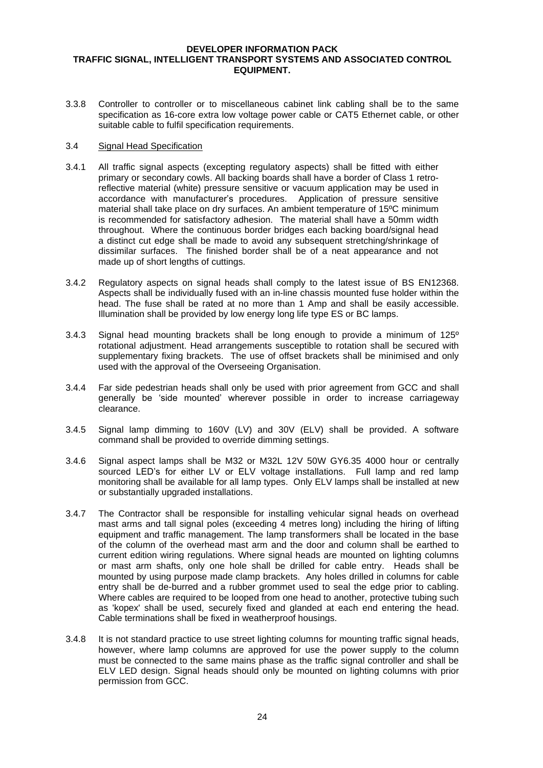3.3.8 Controller to controller or to miscellaneous cabinet link cabling shall be to the same specification as 16-core extra low voltage power cable or CAT5 Ethernet cable, or other suitable cable to fulfil specification requirements.

## 3.4 Signal Head Specification

- 3.4.1 All traffic signal aspects (excepting regulatory aspects) shall be fitted with either primary or secondary cowls. All backing boards shall have a border of Class 1 retroreflective material (white) pressure sensitive or vacuum application may be used in accordance with manufacturer's procedures. Application of pressure sensitive material shall take place on dry surfaces. An ambient temperature of 15ºC minimum is recommended for satisfactory adhesion. The material shall have a 50mm width throughout. Where the continuous border bridges each backing board/signal head a distinct cut edge shall be made to avoid any subsequent stretching/shrinkage of dissimilar surfaces. The finished border shall be of a neat appearance and not made up of short lengths of cuttings.
- 3.4.2 Regulatory aspects on signal heads shall comply to the latest issue of BS EN12368. Aspects shall be individually fused with an in-line chassis mounted fuse holder within the head. The fuse shall be rated at no more than 1 Amp and shall be easily accessible. Illumination shall be provided by low energy long life type ES or BC lamps.
- 3.4.3 Signal head mounting brackets shall be long enough to provide a minimum of 125º rotational adjustment. Head arrangements susceptible to rotation shall be secured with supplementary fixing brackets. The use of offset brackets shall be minimised and only used with the approval of the Overseeing Organisation.
- 3.4.4 Far side pedestrian heads shall only be used with prior agreement from GCC and shall generally be 'side mounted' wherever possible in order to increase carriageway clearance.
- 3.4.5 Signal lamp dimming to 160V (LV) and 30V (ELV) shall be provided. A software command shall be provided to override dimming settings.
- 3.4.6 Signal aspect lamps shall be M32 or M32L 12V 50W GY6.35 4000 hour or centrally sourced LED's for either LV or ELV voltage installations. Full lamp and red lamp monitoring shall be available for all lamp types. Only ELV lamps shall be installed at new or substantially upgraded installations.
- 3.4.7 The Contractor shall be responsible for installing vehicular signal heads on overhead mast arms and tall signal poles (exceeding 4 metres long) including the hiring of lifting equipment and traffic management. The lamp transformers shall be located in the base of the column of the overhead mast arm and the door and column shall be earthed to current edition wiring regulations. Where signal heads are mounted on lighting columns or mast arm shafts, only one hole shall be drilled for cable entry. Heads shall be mounted by using purpose made clamp brackets. Any holes drilled in columns for cable entry shall be de-burred and a rubber grommet used to seal the edge prior to cabling. Where cables are required to be looped from one head to another, protective tubing such as 'kopex' shall be used, securely fixed and glanded at each end entering the head. Cable terminations shall be fixed in weatherproof housings.
- 3.4.8 It is not standard practice to use street lighting columns for mounting traffic signal heads, however, where lamp columns are approved for use the power supply to the column must be connected to the same mains phase as the traffic signal controller and shall be ELV LED design. Signal heads should only be mounted on lighting columns with prior permission from GCC.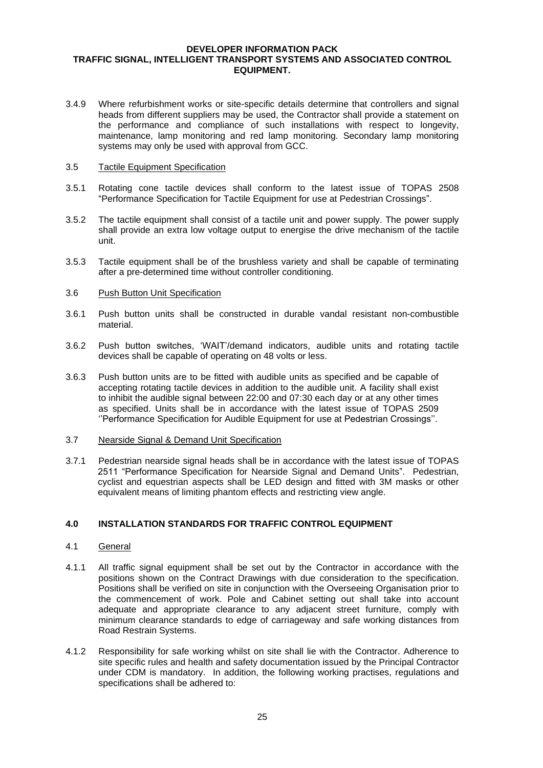3.4.9 Where refurbishment works or site-specific details determine that controllers and signal heads from different suppliers may be used, the Contractor shall provide a statement on the performance and compliance of such installations with respect to longevity, maintenance, lamp monitoring and red lamp monitoring. Secondary lamp monitoring systems may only be used with approval from GCC.

#### 3.5 Tactile Equipment Specification

- 3.5.1 Rotating cone tactile devices shall conform to the latest issue of TOPAS 2508 "Performance Specification for Tactile Equipment for use at Pedestrian Crossings".
- 3.5.2 The tactile equipment shall consist of a tactile unit and power supply. The power supply shall provide an extra low voltage output to energise the drive mechanism of the tactile unit.
- 3.5.3 Tactile equipment shall be of the brushless variety and shall be capable of terminating after a pre-determined time without controller conditioning.

#### 3.6 Push Button Unit Specification

- 3.6.1 Push button units shall be constructed in durable vandal resistant non-combustible material.
- 3.6.2 Push button switches, 'WAIT'/demand indicators, audible units and rotating tactile devices shall be capable of operating on 48 volts or less.
- 3.6.3 Push button units are to be fitted with audible units as specified and be capable of accepting rotating tactile devices in addition to the audible unit. A facility shall exist to inhibit the audible signal between 22:00 and 07:30 each day or at any other times as specified. Units shall be in accordance with the latest issue of TOPAS 2509 ''Performance Specification for Audible Equipment for use at Pedestrian Crossings''.

#### 3.7 Nearside Signal & Demand Unit Specification

3.7.1 Pedestrian nearside signal heads shall be in accordance with the latest issue of TOPAS 2511 "Performance Specification for Nearside Signal and Demand Units". Pedestrian, cyclist and equestrian aspects shall be LED design and fitted with 3M masks or other equivalent means of limiting phantom effects and restricting view angle.

# **4.0 INSTALLATION STANDARDS FOR TRAFFIC CONTROL EQUIPMENT**

# 4.1 General

- 4.1.1 All traffic signal equipment shall be set out by the Contractor in accordance with the positions shown on the Contract Drawings with due consideration to the specification. Positions shall be verified on site in conjunction with the Overseeing Organisation prior to the commencement of work. Pole and Cabinet setting out shall take into account adequate and appropriate clearance to any adjacent street furniture, comply with minimum clearance standards to edge of carriageway and safe working distances from Road Restrain Systems.
- 4.1.2 Responsibility for safe working whilst on site shall lie with the Contractor. Adherence to site specific rules and health and safety documentation issued by the Principal Contractor under CDM is mandatory. In addition, the following working practises, regulations and specifications shall be adhered to: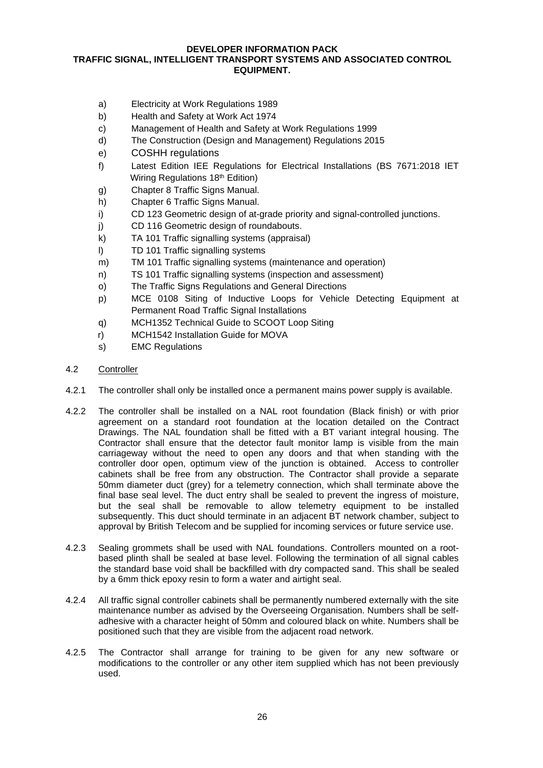- a) Electricity at Work Regulations 1989
- b) Health and Safety at Work Act 1974
- c) Management of Health and Safety at Work Regulations 1999
- d) The Construction (Design and Management) Regulations 2015
- e) COSHH regulations
- f) Latest Edition IEE Regulations for Electrical Installations (BS 7671:2018 IET Wiring Regulations 18<sup>th</sup> Edition)
- g) Chapter 8 Traffic Signs Manual.
- h) Chapter 6 Traffic Signs Manual.
- i) CD 123 Geometric design of at-grade priority and signal-controlled junctions.
- j) CD 116 Geometric design of roundabouts.
- k) TA 101 Traffic signalling systems (appraisal)
- l) TD 101 Traffic signalling systems
- m) TM 101 Traffic signalling systems (maintenance and operation)
- n) TS 101 Traffic signalling systems (inspection and assessment)
- o) The Traffic Signs Regulations and General Directions
- p) MCE 0108 Siting of Inductive Loops for Vehicle Detecting Equipment at Permanent Road Traffic Signal Installations
- q) MCH1352 Technical Guide to SCOOT Loop Siting
- r) MCH1542 Installation Guide for MOVA
- s) EMC Regulations
- 4.2 Controller
- 4.2.1 The controller shall only be installed once a permanent mains power supply is available.
- 4.2.2 The controller shall be installed on a NAL root foundation (Black finish) or with prior agreement on a standard root foundation at the location detailed on the Contract Drawings. The NAL foundation shall be fitted with a BT variant integral housing. The Contractor shall ensure that the detector fault monitor lamp is visible from the main carriageway without the need to open any doors and that when standing with the controller door open, optimum view of the junction is obtained. Access to controller cabinets shall be free from any obstruction. The Contractor shall provide a separate 50mm diameter duct (grey) for a telemetry connection, which shall terminate above the final base seal level. The duct entry shall be sealed to prevent the ingress of moisture, but the seal shall be removable to allow telemetry equipment to be installed subsequently. This duct should terminate in an adjacent BT network chamber, subject to approval by British Telecom and be supplied for incoming services or future service use.
- 4.2.3 Sealing grommets shall be used with NAL foundations. Controllers mounted on a rootbased plinth shall be sealed at base level. Following the termination of all signal cables the standard base void shall be backfilled with dry compacted sand. This shall be sealed by a 6mm thick epoxy resin to form a water and airtight seal.
- 4.2.4 All traffic signal controller cabinets shall be permanently numbered externally with the site maintenance number as advised by the Overseeing Organisation. Numbers shall be selfadhesive with a character height of 50mm and coloured black on white. Numbers shall be positioned such that they are visible from the adjacent road network.
- 4.2.5 The Contractor shall arrange for training to be given for any new software or modifications to the controller or any other item supplied which has not been previously used.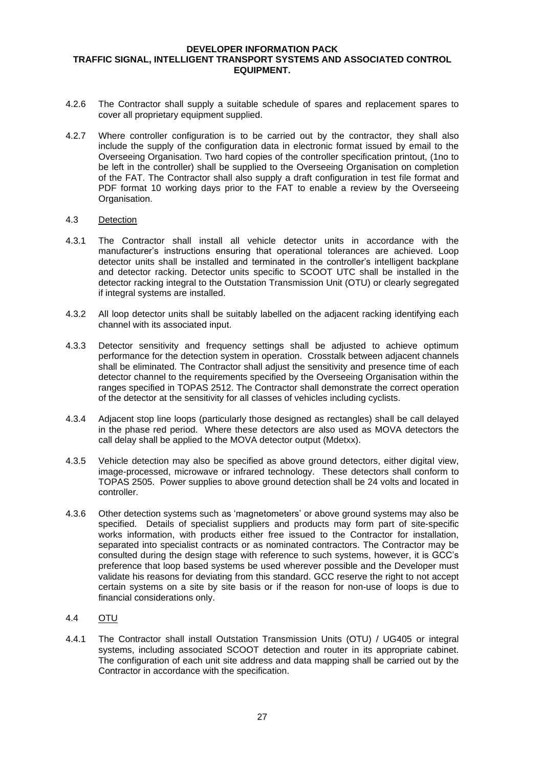- 4.2.6 The Contractor shall supply a suitable schedule of spares and replacement spares to cover all proprietary equipment supplied.
- 4.2.7 Where controller configuration is to be carried out by the contractor, they shall also include the supply of the configuration data in electronic format issued by email to the Overseeing Organisation. Two hard copies of the controller specification printout, (1no to be left in the controller) shall be supplied to the Overseeing Organisation on completion of the FAT. The Contractor shall also supply a draft configuration in test file format and PDF format 10 working days prior to the FAT to enable a review by the Overseeing Organisation.

## 4.3 Detection

- 4.3.1 The Contractor shall install all vehicle detector units in accordance with the manufacturer's instructions ensuring that operational tolerances are achieved. Loop detector units shall be installed and terminated in the controller's intelligent backplane and detector racking. Detector units specific to SCOOT UTC shall be installed in the detector racking integral to the Outstation Transmission Unit (OTU) or clearly segregated if integral systems are installed.
- 4.3.2 All loop detector units shall be suitably labelled on the adjacent racking identifying each channel with its associated input.
- 4.3.3 Detector sensitivity and frequency settings shall be adjusted to achieve optimum performance for the detection system in operation. Crosstalk between adjacent channels shall be eliminated. The Contractor shall adjust the sensitivity and presence time of each detector channel to the requirements specified by the Overseeing Organisation within the ranges specified in TOPAS 2512. The Contractor shall demonstrate the correct operation of the detector at the sensitivity for all classes of vehicles including cyclists.
- 4.3.4 Adjacent stop line loops (particularly those designed as rectangles) shall be call delayed in the phase red period. Where these detectors are also used as MOVA detectors the call delay shall be applied to the MOVA detector output (Mdetxx).
- 4.3.5 Vehicle detection may also be specified as above ground detectors, either digital view, image-processed, microwave or infrared technology. These detectors shall conform to TOPAS 2505. Power supplies to above ground detection shall be 24 volts and located in controller.
- 4.3.6 Other detection systems such as 'magnetometers' or above ground systems may also be specified. Details of specialist suppliers and products may form part of site-specific works information, with products either free issued to the Contractor for installation, separated into specialist contracts or as nominated contractors. The Contractor may be consulted during the design stage with reference to such systems, however, it is GCC's preference that loop based systems be used wherever possible and the Developer must validate his reasons for deviating from this standard. GCC reserve the right to not accept certain systems on a site by site basis or if the reason for non-use of loops is due to financial considerations only.

# 4.4 OTU

4.4.1 The Contractor shall install Outstation Transmission Units (OTU) / UG405 or integral systems, including associated SCOOT detection and router in its appropriate cabinet. The configuration of each unit site address and data mapping shall be carried out by the Contractor in accordance with the specification.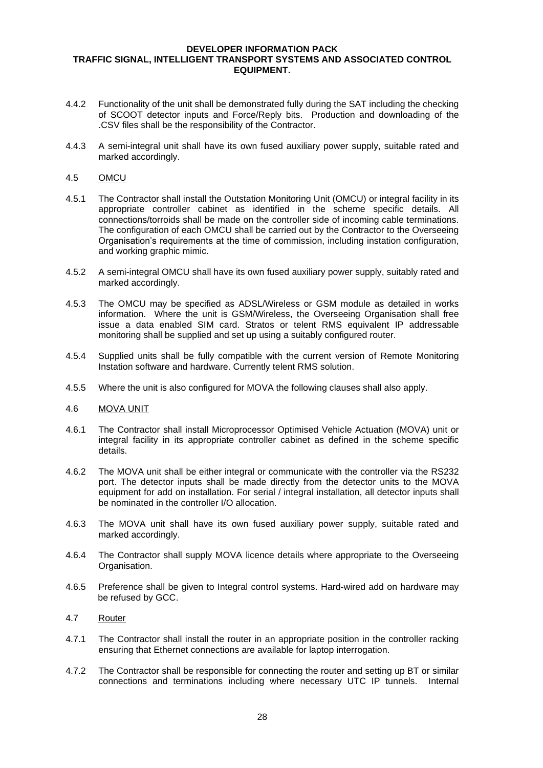- 4.4.2 Functionality of the unit shall be demonstrated fully during the SAT including the checking of SCOOT detector inputs and Force/Reply bits. Production and downloading of the .CSV files shall be the responsibility of the Contractor.
- 4.4.3 A semi-integral unit shall have its own fused auxiliary power supply, suitable rated and marked accordingly.

# 4.5 OMCU

- 4.5.1 The Contractor shall install the Outstation Monitoring Unit (OMCU) or integral facility in its appropriate controller cabinet as identified in the scheme specific details. All connections/torroids shall be made on the controller side of incoming cable terminations. The configuration of each OMCU shall be carried out by the Contractor to the Overseeing Organisation's requirements at the time of commission, including instation configuration, and working graphic mimic.
- 4.5.2 A semi-integral OMCU shall have its own fused auxiliary power supply, suitably rated and marked accordingly.
- 4.5.3 The OMCU may be specified as ADSL/Wireless or GSM module as detailed in works information. Where the unit is GSM/Wireless, the Overseeing Organisation shall free issue a data enabled SIM card. Stratos or telent RMS equivalent IP addressable monitoring shall be supplied and set up using a suitably configured router.
- 4.5.4 Supplied units shall be fully compatible with the current version of Remote Monitoring Instation software and hardware. Currently telent RMS solution.
- 4.5.5 Where the unit is also configured for MOVA the following clauses shall also apply.

#### 4.6 MOVA UNIT

- 4.6.1 The Contractor shall install Microprocessor Optimised Vehicle Actuation (MOVA) unit or integral facility in its appropriate controller cabinet as defined in the scheme specific details.
- 4.6.2 The MOVA unit shall be either integral or communicate with the controller via the RS232 port. The detector inputs shall be made directly from the detector units to the MOVA equipment for add on installation. For serial / integral installation, all detector inputs shall be nominated in the controller I/O allocation.
- 4.6.3 The MOVA unit shall have its own fused auxiliary power supply, suitable rated and marked accordingly.
- 4.6.4 The Contractor shall supply MOVA licence details where appropriate to the Overseeing Organisation.
- 4.6.5 Preference shall be given to Integral control systems. Hard-wired add on hardware may be refused by GCC.
- 4.7 Router
- 4.7.1 The Contractor shall install the router in an appropriate position in the controller racking ensuring that Ethernet connections are available for laptop interrogation.
- 4.7.2 The Contractor shall be responsible for connecting the router and setting up BT or similar connections and terminations including where necessary UTC IP tunnels. Internal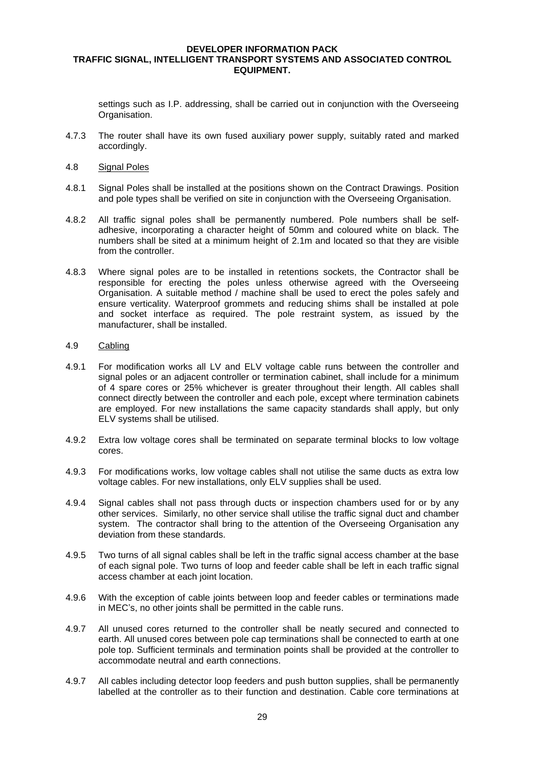settings such as I.P. addressing, shall be carried out in conjunction with the Overseeing Organisation.

- 4.7.3 The router shall have its own fused auxiliary power supply, suitably rated and marked accordingly.
- 4.8 Signal Poles
- 4.8.1 Signal Poles shall be installed at the positions shown on the Contract Drawings. Position and pole types shall be verified on site in conjunction with the Overseeing Organisation.
- 4.8.2 All traffic signal poles shall be permanently numbered. Pole numbers shall be selfadhesive, incorporating a character height of 50mm and coloured white on black. The numbers shall be sited at a minimum height of 2.1m and located so that they are visible from the controller.
- 4.8.3 Where signal poles are to be installed in retentions sockets, the Contractor shall be responsible for erecting the poles unless otherwise agreed with the Overseeing Organisation. A suitable method / machine shall be used to erect the poles safely and ensure verticality. Waterproof grommets and reducing shims shall be installed at pole and socket interface as required. The pole restraint system, as issued by the manufacturer, shall be installed.

#### 4.9 Cabling

- 4.9.1 For modification works all LV and ELV voltage cable runs between the controller and signal poles or an adjacent controller or termination cabinet, shall include for a minimum of 4 spare cores or 25% whichever is greater throughout their length. All cables shall connect directly between the controller and each pole, except where termination cabinets are employed. For new installations the same capacity standards shall apply, but only ELV systems shall be utilised.
- 4.9.2 Extra low voltage cores shall be terminated on separate terminal blocks to low voltage cores.
- 4.9.3 For modifications works, low voltage cables shall not utilise the same ducts as extra low voltage cables. For new installations, only ELV supplies shall be used.
- 4.9.4 Signal cables shall not pass through ducts or inspection chambers used for or by any other services. Similarly, no other service shall utilise the traffic signal duct and chamber system. The contractor shall bring to the attention of the Overseeing Organisation any deviation from these standards.
- 4.9.5 Two turns of all signal cables shall be left in the traffic signal access chamber at the base of each signal pole. Two turns of loop and feeder cable shall be left in each traffic signal access chamber at each joint location.
- 4.9.6 With the exception of cable joints between loop and feeder cables or terminations made in MEC's, no other joints shall be permitted in the cable runs.
- 4.9.7 All unused cores returned to the controller shall be neatly secured and connected to earth. All unused cores between pole cap terminations shall be connected to earth at one pole top. Sufficient terminals and termination points shall be provided at the controller to accommodate neutral and earth connections.
- 4.9.7 All cables including detector loop feeders and push button supplies, shall be permanently labelled at the controller as to their function and destination. Cable core terminations at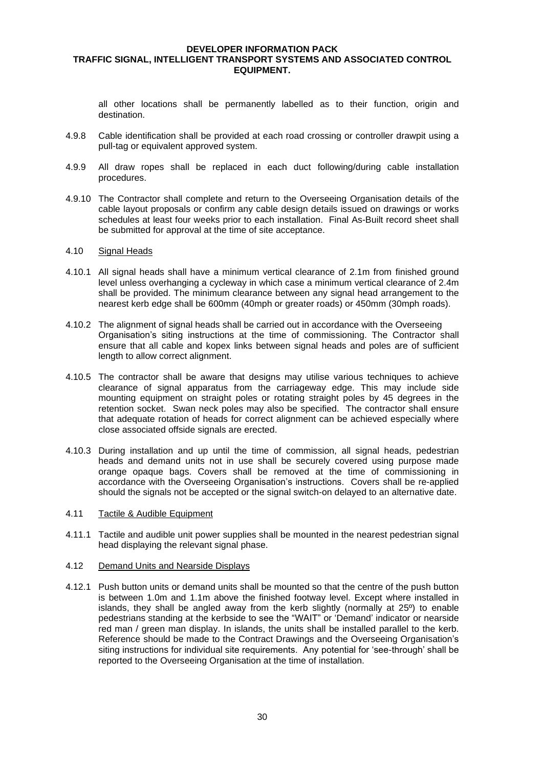all other locations shall be permanently labelled as to their function, origin and destination.

- 4.9.8 Cable identification shall be provided at each road crossing or controller drawpit using a pull-tag or equivalent approved system.
- 4.9.9 All draw ropes shall be replaced in each duct following/during cable installation procedures.
- 4.9.10 The Contractor shall complete and return to the Overseeing Organisation details of the cable layout proposals or confirm any cable design details issued on drawings or works schedules at least four weeks prior to each installation. Final As-Built record sheet shall be submitted for approval at the time of site acceptance.

#### 4.10 Signal Heads

- 4.10.1 All signal heads shall have a minimum vertical clearance of 2.1m from finished ground level unless overhanging a cycleway in which case a minimum vertical clearance of 2.4m shall be provided. The minimum clearance between any signal head arrangement to the nearest kerb edge shall be 600mm (40mph or greater roads) or 450mm (30mph roads).
- 4.10.2 The alignment of signal heads shall be carried out in accordance with the Overseeing Organisation's siting instructions at the time of commissioning. The Contractor shall ensure that all cable and kopex links between signal heads and poles are of sufficient length to allow correct alignment.
- 4.10.5 The contractor shall be aware that designs may utilise various techniques to achieve clearance of signal apparatus from the carriageway edge. This may include side mounting equipment on straight poles or rotating straight poles by 45 degrees in the retention socket. Swan neck poles may also be specified. The contractor shall ensure that adequate rotation of heads for correct alignment can be achieved especially where close associated offside signals are erected.
- 4.10.3 During installation and up until the time of commission, all signal heads, pedestrian heads and demand units not in use shall be securely covered using purpose made orange opaque bags. Covers shall be removed at the time of commissioning in accordance with the Overseeing Organisation's instructions. Covers shall be re-applied should the signals not be accepted or the signal switch-on delayed to an alternative date.

#### 4.11 Tactile & Audible Equipment

4.11.1 Tactile and audible unit power supplies shall be mounted in the nearest pedestrian signal head displaying the relevant signal phase.

# 4.12 Demand Units and Nearside Displays

4.12.1 Push button units or demand units shall be mounted so that the centre of the push button is between 1.0m and 1.1m above the finished footway level. Except where installed in islands, they shall be angled away from the kerb slightly (normally at  $25^\circ$ ) to enable pedestrians standing at the kerbside to see the "WAIT" or 'Demand' indicator or nearside red man / green man display. In islands, the units shall be installed parallel to the kerb. Reference should be made to the Contract Drawings and the Overseeing Organisation's siting instructions for individual site requirements. Any potential for 'see-through' shall be reported to the Overseeing Organisation at the time of installation.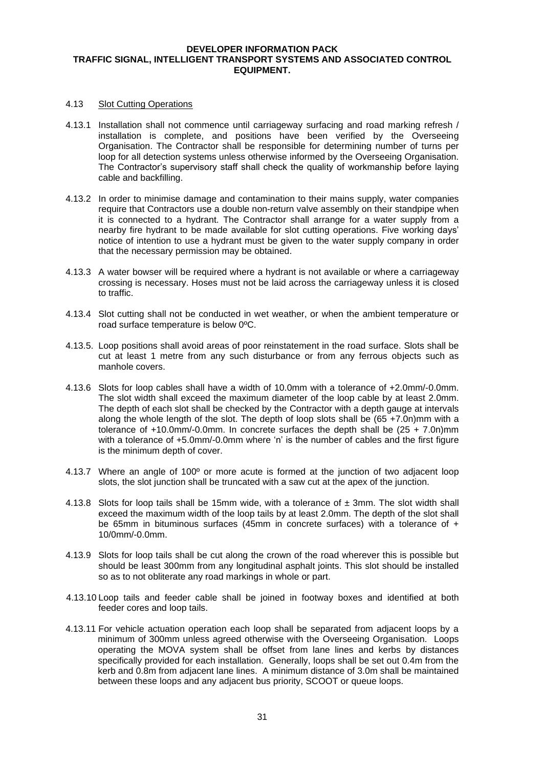#### 4.13 Slot Cutting Operations

- 4.13.1 Installation shall not commence until carriageway surfacing and road marking refresh / installation is complete, and positions have been verified by the Overseeing Organisation. The Contractor shall be responsible for determining number of turns per loop for all detection systems unless otherwise informed by the Overseeing Organisation. The Contractor's supervisory staff shall check the quality of workmanship before laying cable and backfilling.
- 4.13.2 In order to minimise damage and contamination to their mains supply, water companies require that Contractors use a double non-return valve assembly on their standpipe when it is connected to a hydrant. The Contractor shall arrange for a water supply from a nearby fire hydrant to be made available for slot cutting operations. Five working days' notice of intention to use a hydrant must be given to the water supply company in order that the necessary permission may be obtained.
- 4.13.3 A water bowser will be required where a hydrant is not available or where a carriageway crossing is necessary. Hoses must not be laid across the carriageway unless it is closed to traffic.
- 4.13.4 Slot cutting shall not be conducted in wet weather, or when the ambient temperature or road surface temperature is below 0ºC.
- 4.13.5. Loop positions shall avoid areas of poor reinstatement in the road surface. Slots shall be cut at least 1 metre from any such disturbance or from any ferrous objects such as manhole covers.
- 4.13.6 Slots for loop cables shall have a width of 10.0mm with a tolerance of +2.0mm/-0.0mm. The slot width shall exceed the maximum diameter of the loop cable by at least 2.0mm. The depth of each slot shall be checked by the Contractor with a depth gauge at intervals along the whole length of the slot. The depth of loop slots shall be  $(65 + 7.0n)$ mm with a tolerance of +10.0mm/-0.0mm. In concrete surfaces the depth shall be (25 + 7.0n)mm with a tolerance of +5.0mm/-0.0mm where 'n' is the number of cables and the first figure is the minimum depth of cover.
- 4.13.7 Where an angle of 100º or more acute is formed at the junction of two adjacent loop slots, the slot junction shall be truncated with a saw cut at the apex of the junction.
- 4.13.8 Slots for loop tails shall be 15mm wide, with a tolerance of  $\pm$  3mm. The slot width shall exceed the maximum width of the loop tails by at least 2.0mm. The depth of the slot shall be 65mm in bituminous surfaces (45mm in concrete surfaces) with a tolerance of + 10/0mm/-0.0mm.
- 4.13.9 Slots for loop tails shall be cut along the crown of the road wherever this is possible but should be least 300mm from any longitudinal asphalt joints. This slot should be installed so as to not obliterate any road markings in whole or part.
- 4.13.10 Loop tails and feeder cable shall be joined in footway boxes and identified at both feeder cores and loop tails.
- 4.13.11 For vehicle actuation operation each loop shall be separated from adjacent loops by a minimum of 300mm unless agreed otherwise with the Overseeing Organisation. Loops operating the MOVA system shall be offset from lane lines and kerbs by distances specifically provided for each installation. Generally, loops shall be set out 0.4m from the kerb and 0.8m from adjacent lane lines. A minimum distance of 3.0m shall be maintained between these loops and any adjacent bus priority, SCOOT or queue loops.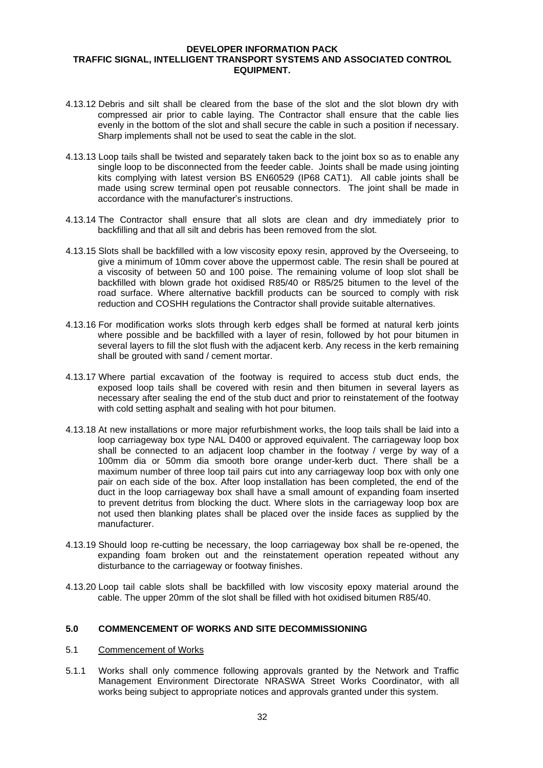- 4.13.12 Debris and silt shall be cleared from the base of the slot and the slot blown dry with compressed air prior to cable laying. The Contractor shall ensure that the cable lies evenly in the bottom of the slot and shall secure the cable in such a position if necessary. Sharp implements shall not be used to seat the cable in the slot.
- 4.13.13 Loop tails shall be twisted and separately taken back to the joint box so as to enable any single loop to be disconnected from the feeder cable. Joints shall be made using jointing kits complying with latest version BS EN60529 (IP68 CAT1). All cable joints shall be made using screw terminal open pot reusable connectors. The joint shall be made in accordance with the manufacturer's instructions.
- 4.13.14 The Contractor shall ensure that all slots are clean and dry immediately prior to backfilling and that all silt and debris has been removed from the slot.
- 4.13.15 Slots shall be backfilled with a low viscosity epoxy resin, approved by the Overseeing, to give a minimum of 10mm cover above the uppermost cable. The resin shall be poured at a viscosity of between 50 and 100 poise. The remaining volume of loop slot shall be backfilled with blown grade hot oxidised R85/40 or R85/25 bitumen to the level of the road surface. Where alternative backfill products can be sourced to comply with risk reduction and COSHH regulations the Contractor shall provide suitable alternatives.
- 4.13.16 For modification works slots through kerb edges shall be formed at natural kerb joints where possible and be backfilled with a layer of resin, followed by hot pour bitumen in several layers to fill the slot flush with the adjacent kerb. Any recess in the kerb remaining shall be grouted with sand / cement mortar.
- 4.13.17 Where partial excavation of the footway is required to access stub duct ends, the exposed loop tails shall be covered with resin and then bitumen in several layers as necessary after sealing the end of the stub duct and prior to reinstatement of the footway with cold setting asphalt and sealing with hot pour bitumen.
- 4.13.18 At new installations or more major refurbishment works, the loop tails shall be laid into a loop carriageway box type NAL D400 or approved equivalent. The carriageway loop box shall be connected to an adjacent loop chamber in the footway / verge by way of a 100mm dia or 50mm dia smooth bore orange under-kerb duct. There shall be a maximum number of three loop tail pairs cut into any carriageway loop box with only one pair on each side of the box. After loop installation has been completed, the end of the duct in the loop carriageway box shall have a small amount of expanding foam inserted to prevent detritus from blocking the duct. Where slots in the carriageway loop box are not used then blanking plates shall be placed over the inside faces as supplied by the manufacturer.
- 4.13.19 Should loop re-cutting be necessary, the loop carriageway box shall be re-opened, the expanding foam broken out and the reinstatement operation repeated without any disturbance to the carriageway or footway finishes.
- 4.13.20 Loop tail cable slots shall be backfilled with low viscosity epoxy material around the cable. The upper 20mm of the slot shall be filled with hot oxidised bitumen R85/40.

# **5.0 COMMENCEMENT OF WORKS AND SITE DECOMMISSIONING**

- 5.1 Commencement of Works
- 5.1.1 Works shall only commence following approvals granted by the Network and Traffic Management Environment Directorate NRASWA Street Works Coordinator, with all works being subject to appropriate notices and approvals granted under this system.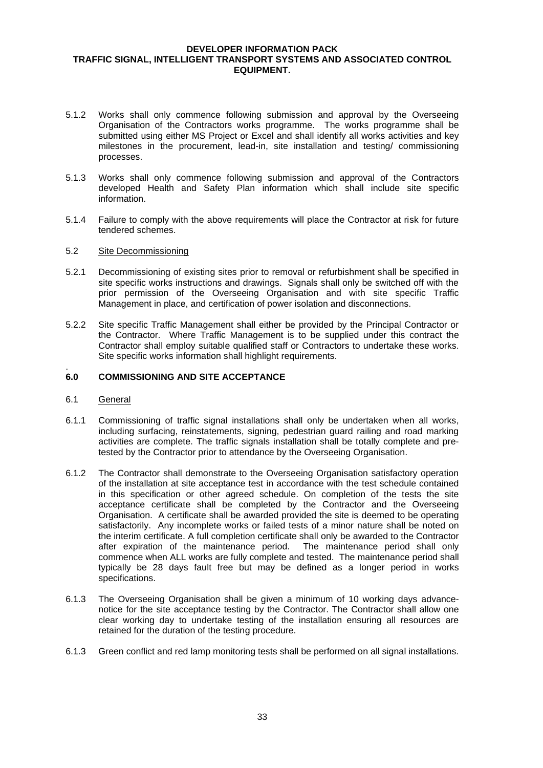- 5.1.2 Works shall only commence following submission and approval by the Overseeing Organisation of the Contractors works programme. The works programme shall be submitted using either MS Project or Excel and shall identify all works activities and key milestones in the procurement, lead-in, site installation and testing/ commissioning processes.
- 5.1.3 Works shall only commence following submission and approval of the Contractors developed Health and Safety Plan information which shall include site specific information.
- 5.1.4 Failure to comply with the above requirements will place the Contractor at risk for future tendered schemes.

#### 5.2 Site Decommissioning

- 5.2.1 Decommissioning of existing sites prior to removal or refurbishment shall be specified in site specific works instructions and drawings. Signals shall only be switched off with the prior permission of the Overseeing Organisation and with site specific Traffic Management in place, and certification of power isolation and disconnections.
- 5.2.2 Site specific Traffic Management shall either be provided by the Principal Contractor or the Contractor. Where Traffic Management is to be supplied under this contract the Contractor shall employ suitable qualified staff or Contractors to undertake these works. Site specific works information shall highlight requirements.

## **6.0 COMMISSIONING AND SITE ACCEPTANCE**

6.1 General

.

- 6.1.1 Commissioning of traffic signal installations shall only be undertaken when all works, including surfacing, reinstatements, signing, pedestrian guard railing and road marking activities are complete. The traffic signals installation shall be totally complete and pretested by the Contractor prior to attendance by the Overseeing Organisation.
- 6.1.2 The Contractor shall demonstrate to the Overseeing Organisation satisfactory operation of the installation at site acceptance test in accordance with the test schedule contained in this specification or other agreed schedule. On completion of the tests the site acceptance certificate shall be completed by the Contractor and the Overseeing Organisation. A certificate shall be awarded provided the site is deemed to be operating satisfactorily. Any incomplete works or failed tests of a minor nature shall be noted on the interim certificate. A full completion certificate shall only be awarded to the Contractor after expiration of the maintenance period. The maintenance period shall only commence when ALL works are fully complete and tested. The maintenance period shall typically be 28 days fault free but may be defined as a longer period in works specifications.
- 6.1.3 The Overseeing Organisation shall be given a minimum of 10 working days advancenotice for the site acceptance testing by the Contractor. The Contractor shall allow one clear working day to undertake testing of the installation ensuring all resources are retained for the duration of the testing procedure.
- 6.1.3 Green conflict and red lamp monitoring tests shall be performed on all signal installations.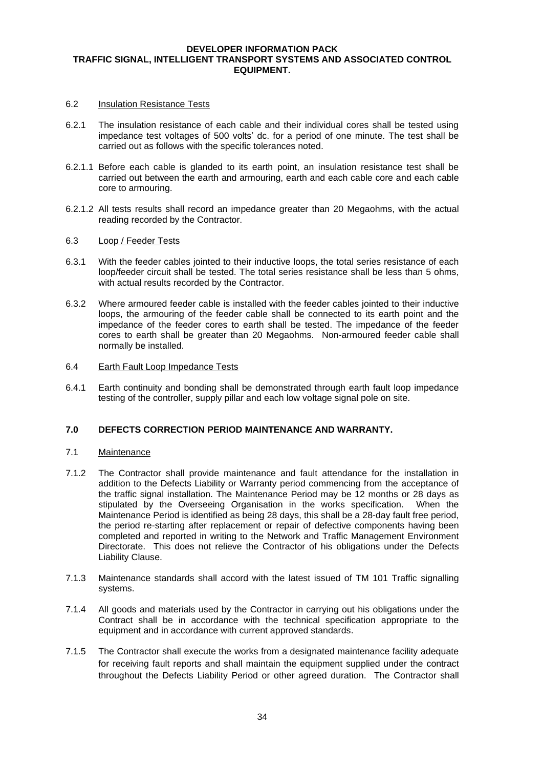#### 6.2 Insulation Resistance Tests

- 6.2.1 The insulation resistance of each cable and their individual cores shall be tested using impedance test voltages of 500 volts' dc. for a period of one minute. The test shall be carried out as follows with the specific tolerances noted.
- 6.2.1.1 Before each cable is glanded to its earth point, an insulation resistance test shall be carried out between the earth and armouring, earth and each cable core and each cable core to armouring.
- 6.2.1.2 All tests results shall record an impedance greater than 20 Megaohms, with the actual reading recorded by the Contractor.

#### 6.3 Loop / Feeder Tests

- 6.3.1 With the feeder cables jointed to their inductive loops, the total series resistance of each loop/feeder circuit shall be tested. The total series resistance shall be less than 5 ohms, with actual results recorded by the Contractor.
- 6.3.2 Where armoured feeder cable is installed with the feeder cables jointed to their inductive loops, the armouring of the feeder cable shall be connected to its earth point and the impedance of the feeder cores to earth shall be tested. The impedance of the feeder cores to earth shall be greater than 20 Megaohms. Non-armoured feeder cable shall normally be installed.
- 6.4 Earth Fault Loop Impedance Tests
- 6.4.1 Earth continuity and bonding shall be demonstrated through earth fault loop impedance testing of the controller, supply pillar and each low voltage signal pole on site.

#### **7.0 DEFECTS CORRECTION PERIOD MAINTENANCE AND WARRANTY.**

#### 7.1 Maintenance

- 7.1.2 The Contractor shall provide maintenance and fault attendance for the installation in addition to the Defects Liability or Warranty period commencing from the acceptance of the traffic signal installation. The Maintenance Period may be 12 months or 28 days as stipulated by the Overseeing Organisation in the works specification. When the Maintenance Period is identified as being 28 days, this shall be a 28-day fault free period, the period re-starting after replacement or repair of defective components having been completed and reported in writing to the Network and Traffic Management Environment Directorate. This does not relieve the Contractor of his obligations under the Defects Liability Clause.
- 7.1.3 Maintenance standards shall accord with the latest issued of TM 101 Traffic signalling systems.
- 7.1.4 All goods and materials used by the Contractor in carrying out his obligations under the Contract shall be in accordance with the technical specification appropriate to the equipment and in accordance with current approved standards.
- 7.1.5 The Contractor shall execute the works from a designated maintenance facility adequate for receiving fault reports and shall maintain the equipment supplied under the contract throughout the Defects Liability Period or other agreed duration. The Contractor shall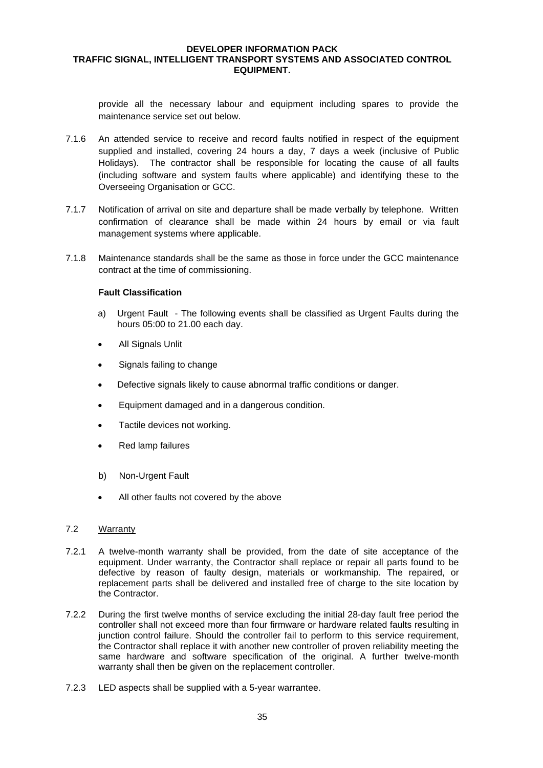provide all the necessary labour and equipment including spares to provide the maintenance service set out below.

- 7.1.6 An attended service to receive and record faults notified in respect of the equipment supplied and installed, covering 24 hours a day, 7 days a week (inclusive of Public Holidays). The contractor shall be responsible for locating the cause of all faults (including software and system faults where applicable) and identifying these to the Overseeing Organisation or GCC.
- 7.1.7 Notification of arrival on site and departure shall be made verbally by telephone. Written confirmation of clearance shall be made within 24 hours by email or via fault management systems where applicable.
- 7.1.8 Maintenance standards shall be the same as those in force under the GCC maintenance contract at the time of commissioning.

## **Fault Classification**

- a) Urgent Fault The following events shall be classified as Urgent Faults during the hours 05:00 to 21.00 each day.
- All Signals Unlit
- Signals failing to change
- Defective signals likely to cause abnormal traffic conditions or danger.
- Equipment damaged and in a dangerous condition.
- Tactile devices not working.
- Red lamp failures
- b) Non-Urgent Fault
- All other faults not covered by the above

# 7.2 Warranty

- 7.2.1 A twelve-month warranty shall be provided, from the date of site acceptance of the equipment. Under warranty, the Contractor shall replace or repair all parts found to be defective by reason of faulty design, materials or workmanship. The repaired, or replacement parts shall be delivered and installed free of charge to the site location by the Contractor.
- 7.2.2 During the first twelve months of service excluding the initial 28-day fault free period the controller shall not exceed more than four firmware or hardware related faults resulting in junction control failure. Should the controller fail to perform to this service requirement, the Contractor shall replace it with another new controller of proven reliability meeting the same hardware and software specification of the original. A further twelve-month warranty shall then be given on the replacement controller.
- 7.2.3 LED aspects shall be supplied with a 5-year warrantee.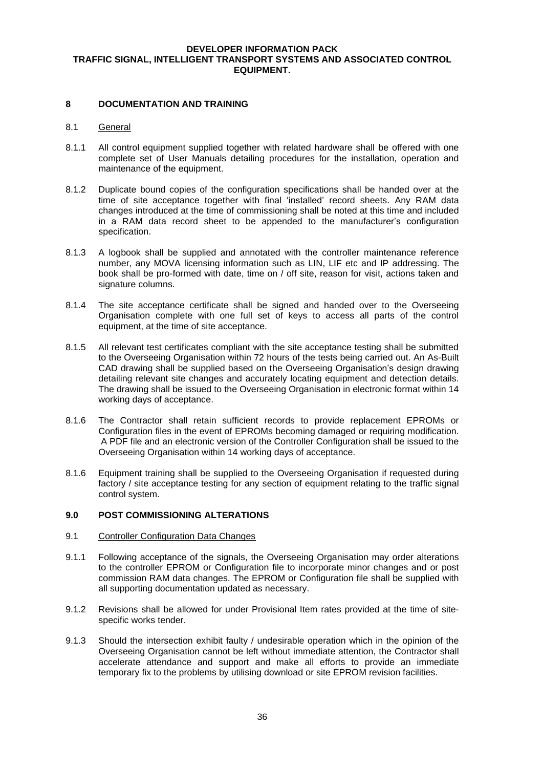## **8 DOCUMENTATION AND TRAINING**

# 8.1 General

- 8.1.1 All control equipment supplied together with related hardware shall be offered with one complete set of User Manuals detailing procedures for the installation, operation and maintenance of the equipment.
- 8.1.2 Duplicate bound copies of the configuration specifications shall be handed over at the time of site acceptance together with final 'installed' record sheets. Any RAM data changes introduced at the time of commissioning shall be noted at this time and included in a RAM data record sheet to be appended to the manufacturer's configuration specification.
- 8.1.3 A logbook shall be supplied and annotated with the controller maintenance reference number, any MOVA licensing information such as LIN, LIF etc and IP addressing. The book shall be pro-formed with date, time on / off site, reason for visit, actions taken and signature columns.
- 8.1.4 The site acceptance certificate shall be signed and handed over to the Overseeing Organisation complete with one full set of keys to access all parts of the control equipment, at the time of site acceptance.
- 8.1.5 All relevant test certificates compliant with the site acceptance testing shall be submitted to the Overseeing Organisation within 72 hours of the tests being carried out. An As-Built CAD drawing shall be supplied based on the Overseeing Organisation's design drawing detailing relevant site changes and accurately locating equipment and detection details. The drawing shall be issued to the Overseeing Organisation in electronic format within 14 working days of acceptance.
- 8.1.6 The Contractor shall retain sufficient records to provide replacement EPROMs or Configuration files in the event of EPROMs becoming damaged or requiring modification. A PDF file and an electronic version of the Controller Configuration shall be issued to the Overseeing Organisation within 14 working days of acceptance.
- 8.1.6 Equipment training shall be supplied to the Overseeing Organisation if requested during factory / site acceptance testing for any section of equipment relating to the traffic signal control system.

#### **9.0 POST COMMISSIONING ALTERATIONS**

#### 9.1 Controller Configuration Data Changes

- 9.1.1 Following acceptance of the signals, the Overseeing Organisation may order alterations to the controller EPROM or Configuration file to incorporate minor changes and or post commission RAM data changes. The EPROM or Configuration file shall be supplied with all supporting documentation updated as necessary.
- 9.1.2 Revisions shall be allowed for under Provisional Item rates provided at the time of sitespecific works tender.
- 9.1.3 Should the intersection exhibit faulty / undesirable operation which in the opinion of the Overseeing Organisation cannot be left without immediate attention, the Contractor shall accelerate attendance and support and make all efforts to provide an immediate temporary fix to the problems by utilising download or site EPROM revision facilities.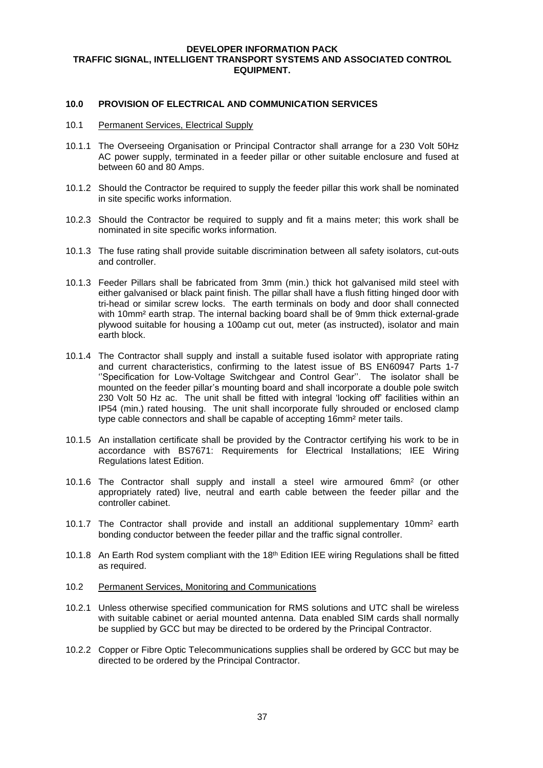#### **10.0 PROVISION OF ELECTRICAL AND COMMUNICATION SERVICES**

#### 10.1 Permanent Services, Electrical Supply

- 10.1.1 The Overseeing Organisation or Principal Contractor shall arrange for a 230 Volt 50Hz AC power supply, terminated in a feeder pillar or other suitable enclosure and fused at between 60 and 80 Amps.
- 10.1.2 Should the Contractor be required to supply the feeder pillar this work shall be nominated in site specific works information.
- 10.2.3 Should the Contractor be required to supply and fit a mains meter; this work shall be nominated in site specific works information.
- 10.1.3 The fuse rating shall provide suitable discrimination between all safety isolators, cut-outs and controller.
- 10.1.3 Feeder Pillars shall be fabricated from 3mm (min.) thick hot galvanised mild steel with either galvanised or black paint finish. The pillar shall have a flush fitting hinged door with tri-head or similar screw locks. The earth terminals on body and door shall connected with 10mm<sup>2</sup> earth strap. The internal backing board shall be of 9mm thick external-grade plywood suitable for housing a 100amp cut out, meter (as instructed), isolator and main earth block.
- 10.1.4 The Contractor shall supply and install a suitable fused isolator with appropriate rating and current characteristics, confirming to the latest issue of BS EN60947 Parts 1-7 ''Specification for Low-Voltage Switchgear and Control Gear''. The isolator shall be mounted on the feeder pillar's mounting board and shall incorporate a double pole switch 230 Volt 50 Hz ac. The unit shall be fitted with integral 'locking off' facilities within an IP54 (min.) rated housing. The unit shall incorporate fully shrouded or enclosed clamp type cable connectors and shall be capable of accepting 16mm² meter tails.
- 10.1.5 An installation certificate shall be provided by the Contractor certifying his work to be in accordance with BS7671: Requirements for Electrical Installations; IEE Wiring Regulations latest Edition.
- 10.1.6 The Contractor shall supply and install a steel wire armoured 6mm<sup>2</sup> (or other appropriately rated) live, neutral and earth cable between the feeder pillar and the controller cabinet.
- 10.1.7 The Contractor shall provide and install an additional supplementary 10mm<sup>2</sup> earth bonding conductor between the feeder pillar and the traffic signal controller.
- 10.1.8 An Earth Rod system compliant with the 18<sup>th</sup> Edition IEE wiring Regulations shall be fitted as required.
- 10.2 Permanent Services, Monitoring and Communications
- 10.2.1 Unless otherwise specified communication for RMS solutions and UTC shall be wireless with suitable cabinet or aerial mounted antenna. Data enabled SIM cards shall normally be supplied by GCC but may be directed to be ordered by the Principal Contractor.
- 10.2.2 Copper or Fibre Optic Telecommunications supplies shall be ordered by GCC but may be directed to be ordered by the Principal Contractor.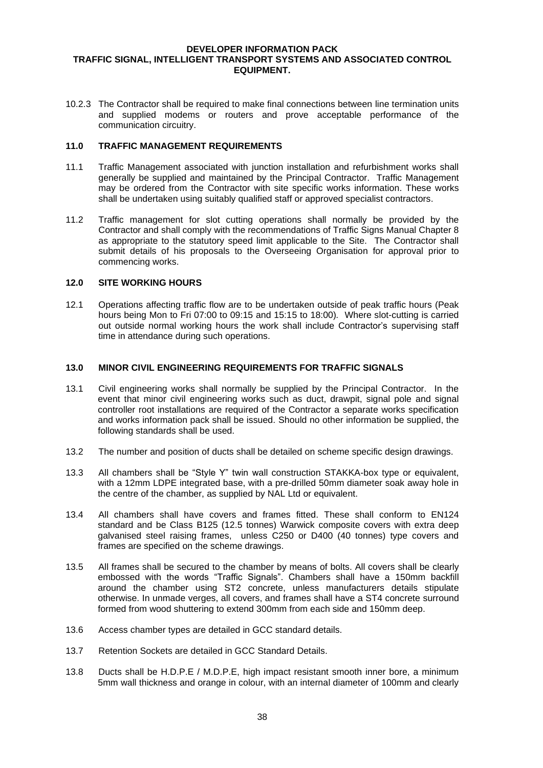10.2.3 The Contractor shall be required to make final connections between line termination units and supplied modems or routers and prove acceptable performance of the communication circuitry.

#### **11.0 TRAFFIC MANAGEMENT REQUIREMENTS**

- 11.1 Traffic Management associated with junction installation and refurbishment works shall generally be supplied and maintained by the Principal Contractor. Traffic Management may be ordered from the Contractor with site specific works information. These works shall be undertaken using suitably qualified staff or approved specialist contractors.
- 11.2 Traffic management for slot cutting operations shall normally be provided by the Contractor and shall comply with the recommendations of Traffic Signs Manual Chapter 8 as appropriate to the statutory speed limit applicable to the Site. The Contractor shall submit details of his proposals to the Overseeing Organisation for approval prior to commencing works.

## **12.0 SITE WORKING HOURS**

12.1 Operations affecting traffic flow are to be undertaken outside of peak traffic hours (Peak hours being Mon to Fri 07:00 to 09:15 and 15:15 to 18:00)*.* Where slot-cutting is carried out outside normal working hours the work shall include Contractor's supervising staff time in attendance during such operations.

## **13.0 MINOR CIVIL ENGINEERING REQUIREMENTS FOR TRAFFIC SIGNALS**

- 13.1 Civil engineering works shall normally be supplied by the Principal Contractor. In the event that minor civil engineering works such as duct, drawpit, signal pole and signal controller root installations are required of the Contractor a separate works specification and works information pack shall be issued. Should no other information be supplied, the following standards shall be used.
- 13.2 The number and position of ducts shall be detailed on scheme specific design drawings.
- 13.3 All chambers shall be "Style Y" twin wall construction STAKKA-box type or equivalent, with a 12mm LDPE integrated base, with a pre-drilled 50mm diameter soak away hole in the centre of the chamber, as supplied by NAL Ltd or equivalent.
- 13.4 All chambers shall have covers and frames fitted. These shall conform to EN124 standard and be Class B125 (12.5 tonnes) Warwick composite covers with extra deep galvanised steel raising frames, unless C250 or D400 (40 tonnes) type covers and frames are specified on the scheme drawings.
- 13.5 All frames shall be secured to the chamber by means of bolts. All covers shall be clearly embossed with the words "Traffic Signals". Chambers shall have a 150mm backfill around the chamber using ST2 concrete, unless manufacturers details stipulate otherwise. In unmade verges, all covers, and frames shall have a ST4 concrete surround formed from wood shuttering to extend 300mm from each side and 150mm deep.
- 13.6 Access chamber types are detailed in GCC standard details.
- 13.7 Retention Sockets are detailed in GCC Standard Details.
- 13.8 Ducts shall be H.D.P.E / M.D.P.E, high impact resistant smooth inner bore, a minimum 5mm wall thickness and orange in colour, with an internal diameter of 100mm and clearly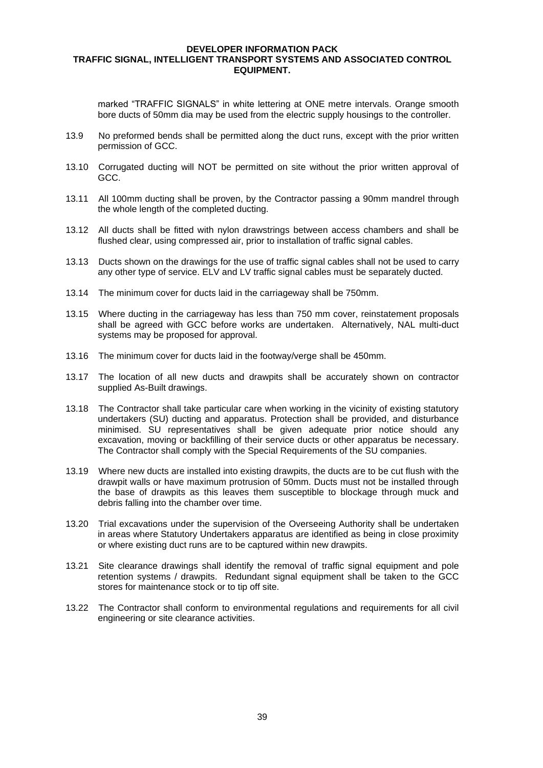marked "TRAFFIC SIGNALS" in white lettering at ONE metre intervals. Orange smooth bore ducts of 50mm dia may be used from the electric supply housings to the controller.

- 13.9 No preformed bends shall be permitted along the duct runs, except with the prior written permission of GCC.
- 13.10 Corrugated ducting will NOT be permitted on site without the prior written approval of GCC.
- 13.11 All 100mm ducting shall be proven, by the Contractor passing a 90mm mandrel through the whole length of the completed ducting.
- 13.12 All ducts shall be fitted with nylon drawstrings between access chambers and shall be flushed clear, using compressed air, prior to installation of traffic signal cables.
- 13.13 Ducts shown on the drawings for the use of traffic signal cables shall not be used to carry any other type of service. ELV and LV traffic signal cables must be separately ducted.
- 13.14 The minimum cover for ducts laid in the carriageway shall be 750mm.
- 13.15 Where ducting in the carriageway has less than 750 mm cover, reinstatement proposals shall be agreed with GCC before works are undertaken. Alternatively, NAL multi-duct systems may be proposed for approval.
- 13.16 The minimum cover for ducts laid in the footway/verge shall be 450mm.
- 13.17 The location of all new ducts and drawpits shall be accurately shown on contractor supplied As-Built drawings.
- 13.18 The Contractor shall take particular care when working in the vicinity of existing statutory undertakers (SU) ducting and apparatus. Protection shall be provided, and disturbance minimised. SU representatives shall be given adequate prior notice should any excavation, moving or backfilling of their service ducts or other apparatus be necessary. The Contractor shall comply with the Special Requirements of the SU companies.
- 13.19 Where new ducts are installed into existing drawpits, the ducts are to be cut flush with the drawpit walls or have maximum protrusion of 50mm. Ducts must not be installed through the base of drawpits as this leaves them susceptible to blockage through muck and debris falling into the chamber over time.
- 13.20 Trial excavations under the supervision of the Overseeing Authority shall be undertaken in areas where Statutory Undertakers apparatus are identified as being in close proximity or where existing duct runs are to be captured within new drawpits.
- 13.21 Site clearance drawings shall identify the removal of traffic signal equipment and pole retention systems / drawpits. Redundant signal equipment shall be taken to the GCC stores for maintenance stock or to tip off site.
- 13.22 The Contractor shall conform to environmental regulations and requirements for all civil engineering or site clearance activities.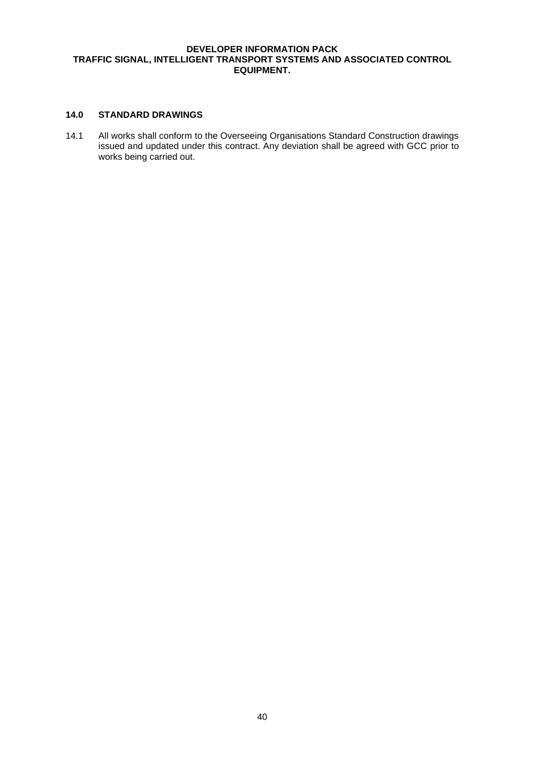# **14.0 STANDARD DRAWINGS**

14.1 All works shall conform to the Overseeing Organisations Standard Construction drawings issued and updated under this contract. Any deviation shall be agreed with GCC prior to works being carried out.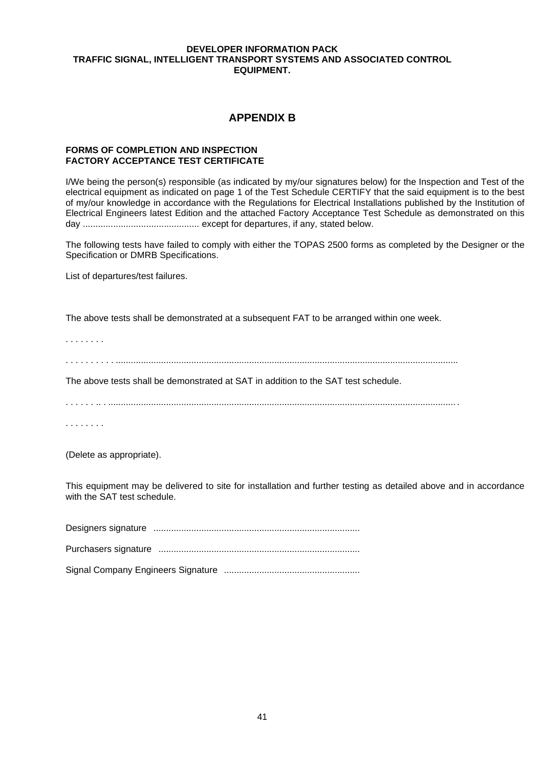# **APPENDIX B**

## **FORMS OF COMPLETION AND INSPECTION FACTORY ACCEPTANCE TEST CERTIFICATE**

I/We being the person(s) responsible (as indicated by my/our signatures below) for the Inspection and Test of the electrical equipment as indicated on page 1 of the Test Schedule CERTIFY that the said equipment is to the best of my/our knowledge in accordance with the Regulations for Electrical Installations published by the Institution of Electrical Engineers latest Edition and the attached Factory Acceptance Test Schedule as demonstrated on this day .............................................. except for departures, if any, stated below.

The following tests have failed to comply with either the TOPAS 2500 forms as completed by the Designer or the Specification or DMRB Specifications.

List of departures/test failures.

The above tests shall be demonstrated at a subsequent FAT to be arranged within one week.

. . . . . . . .

. . . . . . . . . . ........................................................................................................................................

The above tests shall be demonstrated at SAT in addition to the SAT test schedule.

. . . . . . .. . .......................................................................................................................................... .

. . . . . . . .

(Delete as appropriate).

This equipment may be delivered to site for installation and further testing as detailed above and in accordance with the SAT test schedule.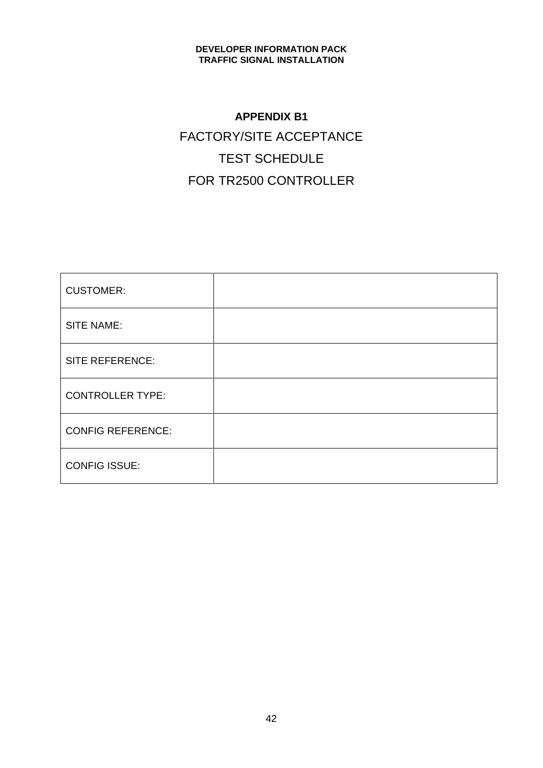# **APPENDIX B1** FACTORY/SITE ACCEPTANCE TEST SCHEDULE FOR TR2500 CONTROLLER

| <b>CUSTOMER:</b>         |  |
|--------------------------|--|
| SITE NAME:               |  |
| <b>SITE REFERENCE:</b>   |  |
| <b>CONTROLLER TYPE:</b>  |  |
| <b>CONFIG REFERENCE:</b> |  |
| <b>CONFIG ISSUE:</b>     |  |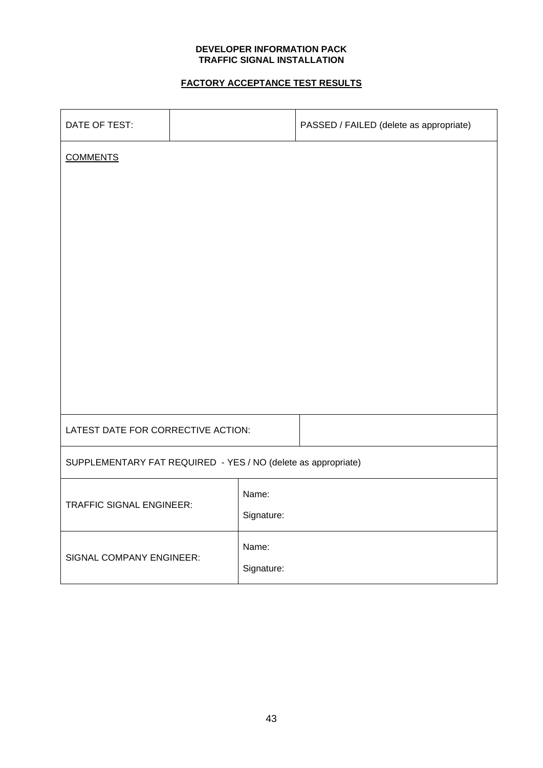# **FACTORY ACCEPTANCE TEST RESULTS**

| DATE OF TEST:                                                 |  |            | PASSED / FAILED (delete as appropriate) |
|---------------------------------------------------------------|--|------------|-----------------------------------------|
| <b>COMMENTS</b>                                               |  |            |                                         |
|                                                               |  |            |                                         |
|                                                               |  |            |                                         |
|                                                               |  |            |                                         |
|                                                               |  |            |                                         |
|                                                               |  |            |                                         |
|                                                               |  |            |                                         |
|                                                               |  |            |                                         |
|                                                               |  |            |                                         |
|                                                               |  |            |                                         |
| LATEST DATE FOR CORRECTIVE ACTION:                            |  |            |                                         |
| SUPPLEMENTARY FAT REQUIRED - YES / NO (delete as appropriate) |  |            |                                         |
| <b>TRAFFIC SIGNAL ENGINEER:</b>                               |  | Name:      |                                         |
|                                                               |  | Signature: |                                         |
| SIGNAL COMPANY ENGINEER:                                      |  | Name:      |                                         |
|                                                               |  | Signature: |                                         |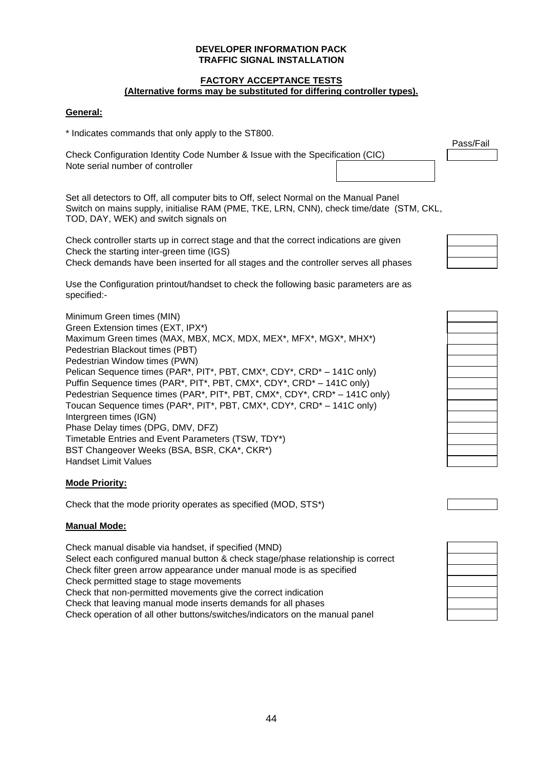#### **FACTORY ACCEPTANCE TESTS (Alternative forms may be substituted for differing controller types).**

# **General:**

\* Indicates commands that only apply to the ST800.

Check Configuration Identity Code Number & Issue with the Specification (CIC) Note serial number of controller

Pass/Fail

Set all detectors to Off, all computer bits to Off, select Normal on the Manual Panel Switch on mains supply, initialise RAM (PME, TKE, LRN, CNN), check time/date (STM, CKL, TOD, DAY, WEK) and switch signals on

Check controller starts up in correct stage and that the correct indications are given Check the starting inter-green time (IGS)

Check demands have been inserted for all stages and the controller serves all phases

Use the Configuration printout/handset to check the following basic parameters are as specified:-

Minimum Green times (MIN) Green Extension times (EXT, IPX\*) Maximum Green times (MAX, MBX, MCX, MDX, MEX\*, MFX\*, MGX\*, MHX\*) Pedestrian Blackout times (PBT) Pedestrian Window times (PWN) Pelican Sequence times (PAR\*, PIT\*, PBT, CMX\*, CDY\*, CRD\* – 141C only) Puffin Sequence times (PAR\*, PIT\*, PBT, CMX\*, CDY\*, CRD\* – 141C only) Pedestrian Sequence times (PAR\*, PIT\*, PBT, CMX\*, CDY\*, CRD\* – 141C only) Toucan Sequence times (PAR\*, PIT\*, PBT, CMX\*, CDY\*, CRD\* – 141C only) Intergreen times (IGN) Phase Delay times (DPG, DMV, DFZ) Timetable Entries and Event Parameters (TSW, TDY\*) BST Changeover Weeks (BSA, BSR, CKA\*, CKR\*) Handset Limit Values

# **Mode Priority:**

Check that the mode priority operates as specified (MOD, STS\*)

#### **Manual Mode:**

Check manual disable via handset, if specified (MND) Select each configured manual button & check stage/phase relationship is correct Check filter green arrow appearance under manual mode is as specified Check permitted stage to stage movements Check that non-permitted movements give the correct indication Check that leaving manual mode inserts demands for all phases Check operation of all other buttons/switches/indicators on the manual panel

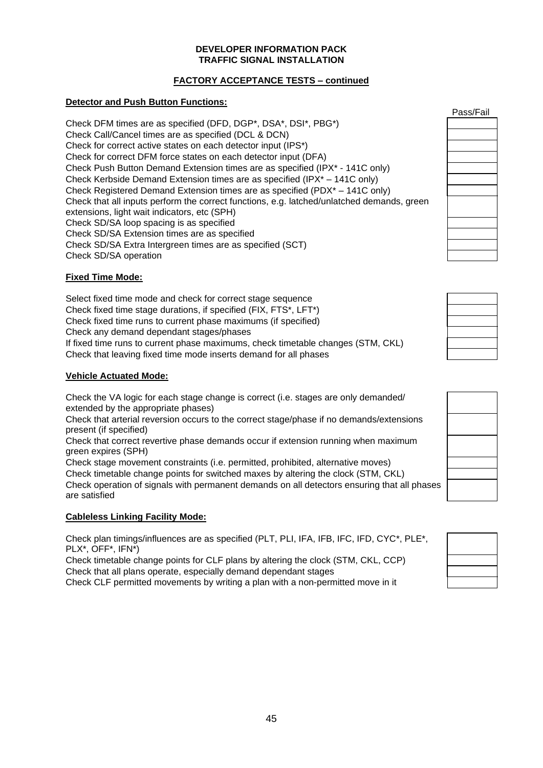# **FACTORY ACCEPTANCE TESTS – continued**

# **Detector and Push Button Functions:**

Check DFM times are as specified (DFD, DGP\*, DSA\*, DSI\*, PBG\*) Check Call/Cancel times are as specified (DCL & DCN) Check for correct active states on each detector input (IPS\*) Check for correct DFM force states on each detector input (DFA) Check Push Button Demand Extension times are as specified (IPX\* - 141C only) Check Kerbside Demand Extension times are as specified (IPX\* – 141C only) Check Registered Demand Extension times are as specified (PDX\* – 141C only) Check that all inputs perform the correct functions, e.g. latched/unlatched demands, green extensions, light wait indicators, etc (SPH) Check SD/SA loop spacing is as specified Check SD/SA Extension times are as specified Check SD/SA Extra Intergreen times are as specified (SCT) Check SD/SA operation

# **Fixed Time Mode:**

Select fixed time mode and check for correct stage sequence Check fixed time stage durations, if specified (FIX, FTS\*, LFT\*) Check fixed time runs to current phase maximums (if specified) Check any demand dependant stages/phases If fixed time runs to current phase maximums, check timetable changes (STM, CKL) Check that leaving fixed time mode inserts demand for all phases

# **Vehicle Actuated Mode:**

Check the VA logic for each stage change is correct (i.e. stages are only demanded/ extended by the appropriate phases)

Check that arterial reversion occurs to the correct stage/phase if no demands/extensions present (if specified)

Check that correct revertive phase demands occur if extension running when maximum green expires (SPH)

Check stage movement constraints (i.e. permitted, prohibited, alternative moves) Check timetable change points for switched maxes by altering the clock (STM, CKL) Check operation of signals with permanent demands on all detectors ensuring that all phases are satisfied

# **Cableless Linking Facility Mode:**

Check plan timings/influences are as specified (PLT, PLI, IFA, IFB, IFC, IFD, CYC\*, PLE\*, PLX\*, OFF\*, IFN\*)

Check timetable change points for CLF plans by altering the clock (STM, CKL, CCP) Check that all plans operate, especially demand dependant stages

Check CLF permitted movements by writing a plan with a non-permitted move in it

| Pass/Fail |
|-----------|
|           |
|           |
|           |
|           |
|           |
|           |
|           |
|           |
|           |
|           |
|           |
|           |

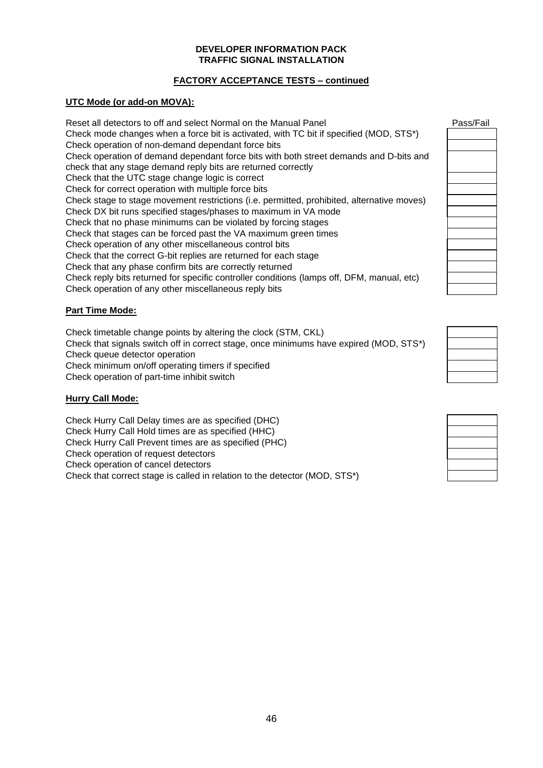# **FACTORY ACCEPTANCE TESTS – continued**

# **UTC Mode (or add-on MOVA):**

Reset all detectors to off and select Normal on the Manual Panel Check mode changes when a force bit is activated, with TC bit if specified (MOD, STS\*) Check operation of non-demand dependant force bits Check operation of demand dependant force bits with both street demands and D-bits and check that any stage demand reply bits are returned correctly Check that the UTC stage change logic is correct Check for correct operation with multiple force bits Check stage to stage movement restrictions (i.e. permitted, prohibited, alternative moves) Check DX bit runs specified stages/phases to maximum in VA mode Check that no phase minimums can be violated by forcing stages Check that stages can be forced past the VA maximum green times Check operation of any other miscellaneous control bits Check that the correct G-bit replies are returned for each stage Check that any phase confirm bits are correctly returned Check reply bits returned for specific controller conditions (lamps off, DFM, manual, etc) Check operation of any other miscellaneous reply bits

# **Part Time Mode:**

Check timetable change points by altering the clock (STM, CKL) Check that signals switch off in correct stage, once minimums have expired (MOD, STS\*) Check queue detector operation Check minimum on/off operating timers if specified Check operation of part-time inhibit switch

# **Hurry Call Mode:**

Check Hurry Call Delay times are as specified (DHC) Check Hurry Call Hold times are as specified (HHC) Check Hurry Call Prevent times are as specified (PHC) Check operation of request detectors Check operation of cancel detectors Check that correct stage is called in relation to the detector (MOD, STS\*)

| Pass/Fail |  |  |
|-----------|--|--|
|           |  |  |
|           |  |  |
|           |  |  |
|           |  |  |
|           |  |  |
|           |  |  |
|           |  |  |
|           |  |  |
|           |  |  |
|           |  |  |
|           |  |  |
|           |  |  |
|           |  |  |
|           |  |  |
|           |  |  |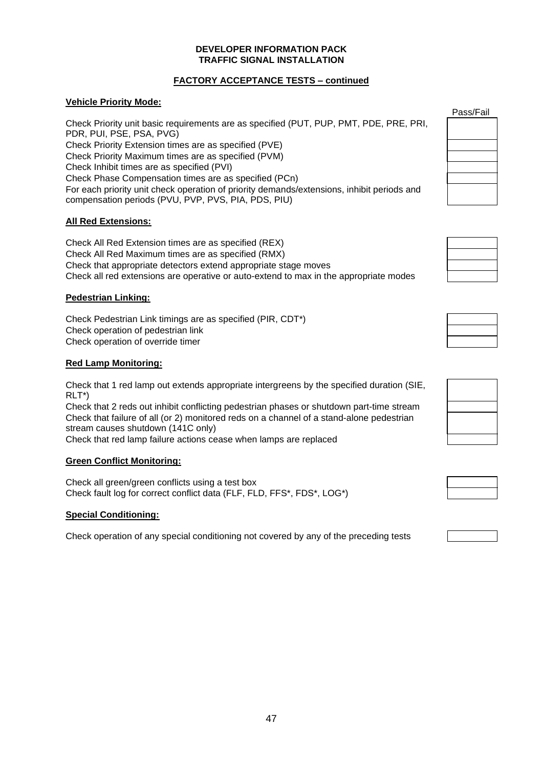# **FACTORY ACCEPTANCE TESTS – continued**

# **Vehicle Priority Mode:**

Check Priority unit basic requirements are as specified (PUT, PUP, PMT, PDE, PRE, PRI, PDR, PUI, PSE, PSA, PVG) Check Priority Extension times are as specified (PVE) Check Priority Maximum times are as specified (PVM) Check Inhibit times are as specified (PVI) Check Phase Compensation times are as specified (PCn) For each priority unit check operation of priority demands/extensions, inhibit periods and compensation periods (PVU, PVP, PVS, PIA, PDS, PIU)

# **All Red Extensions:**

Check All Red Extension times are as specified (REX) Check All Red Maximum times are as specified (RMX) Check that appropriate detectors extend appropriate stage moves Check all red extensions are operative or auto-extend to max in the appropriate modes

# **Pedestrian Linking:**

Check Pedestrian Link timings are as specified (PIR, CDT\*) Check operation of pedestrian link Check operation of override timer

# **Red Lamp Monitoring:**

Check that 1 red lamp out extends appropriate intergreens by the specified duration (SIE, RLT\*)

Check that 2 reds out inhibit conflicting pedestrian phases or shutdown part-time stream Check that failure of all (or 2) monitored reds on a channel of a stand-alone pedestrian stream causes shutdown (141C only)

Check that red lamp failure actions cease when lamps are replaced

# **Green Conflict Monitoring:**

Check all green/green conflicts using a test box Check fault log for correct conflict data (FLF, FLD, FFS\*, FDS\*, LOG\*)

# **Special Conditioning:**

Check operation of any special conditioning not covered by any of the preceding tests

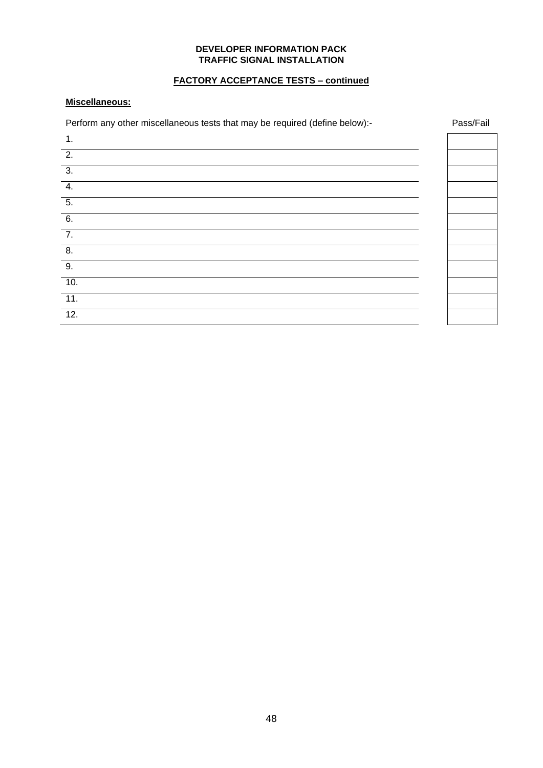# **FACTORY ACCEPTANCE TESTS – continued**

# **Miscellaneous:**

Perform any other miscellaneous tests that may be required (define below):- Pass/Fail

| 1.               |  |
|------------------|--|
| $\overline{2}$ . |  |
| $\overline{3}$ . |  |
| 4.               |  |
| $\overline{5}$ . |  |
| 6.               |  |
| $\overline{7}$ . |  |
| $\overline{8}$ . |  |
| 9.               |  |
| 10.              |  |
| 11.              |  |
| 12.              |  |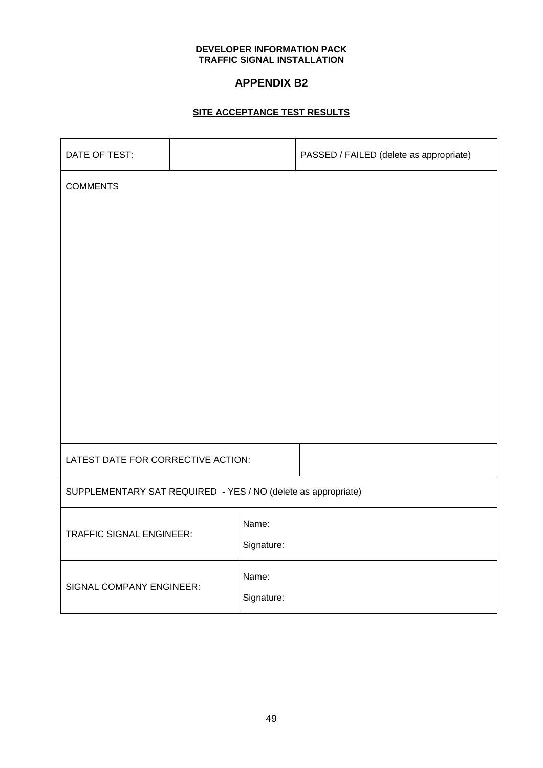# **APPENDIX B2**

# **SITE ACCEPTANCE TEST RESULTS**

| DATE OF TEST:                                                 |  |            | PASSED / FAILED (delete as appropriate) |
|---------------------------------------------------------------|--|------------|-----------------------------------------|
| <b>COMMENTS</b>                                               |  |            |                                         |
|                                                               |  |            |                                         |
|                                                               |  |            |                                         |
|                                                               |  |            |                                         |
|                                                               |  |            |                                         |
|                                                               |  |            |                                         |
|                                                               |  |            |                                         |
|                                                               |  |            |                                         |
|                                                               |  |            |                                         |
| LATEST DATE FOR CORRECTIVE ACTION:                            |  |            |                                         |
| SUPPLEMENTARY SAT REQUIRED - YES / NO (delete as appropriate) |  |            |                                         |
| <b>TRAFFIC SIGNAL ENGINEER:</b>                               |  | Name:      |                                         |
|                                                               |  | Signature: |                                         |
| SIGNAL COMPANY ENGINEER:                                      |  | Name:      |                                         |
|                                                               |  | Signature: |                                         |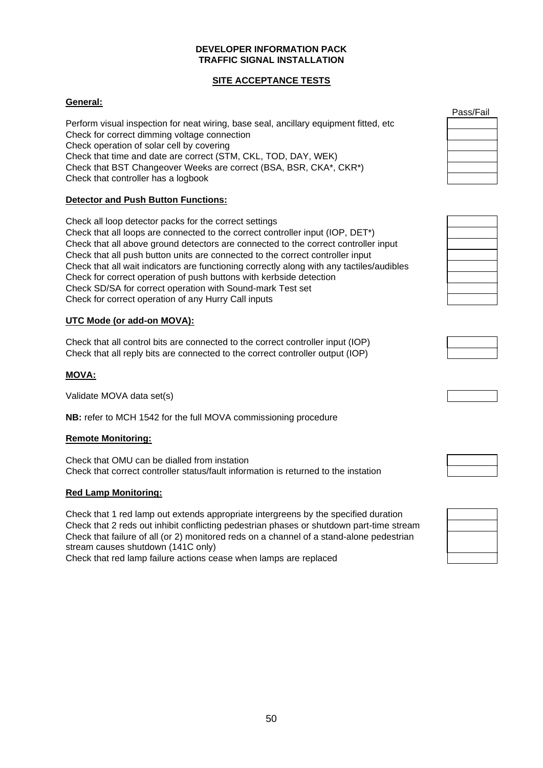# **SITE ACCEPTANCE TESTS**

# **General:**

Perform visual inspection for neat wiring, base seal, ancillary equipment fitted, etc Check for correct dimming voltage connection Check operation of solar cell by covering Check that time and date are correct (STM, CKL, TOD, DAY, WEK) Check that BST Changeover Weeks are correct (BSA, BSR, CKA\*, CKR\*) Check that controller has a logbook

# **Detector and Push Button Functions:**

Check all loop detector packs for the correct settings Check that all loops are connected to the correct controller input (IOP, DET\*) Check that all above ground detectors are connected to the correct controller input Check that all push button units are connected to the correct controller input Check that all wait indicators are functioning correctly along with any tactiles/audibles Check for correct operation of push buttons with kerbside detection Check SD/SA for correct operation with Sound-mark Test set Check for correct operation of any Hurry Call inputs

# **UTC Mode (or add-on MOVA):**

Check that all control bits are connected to the correct controller input (IOP) Check that all reply bits are connected to the correct controller output (IOP)

# **MOVA:**

Validate MOVA data set(s)

**NB:** refer to MCH 1542 for the full MOVA commissioning procedure

# **Remote Monitoring:**

Check that OMU can be dialled from instation Check that correct controller status/fault information is returned to the instation

# **Red Lamp Monitoring:**

Check that 1 red lamp out extends appropriate intergreens by the specified duration Check that 2 reds out inhibit conflicting pedestrian phases or shutdown part-time stream Check that failure of all (or 2) monitored reds on a channel of a stand-alone pedestrian stream causes shutdown (141C only)

Check that red lamp failure actions cease when lamps are replaced

| เรร/Fail |
|----------|
|----------|



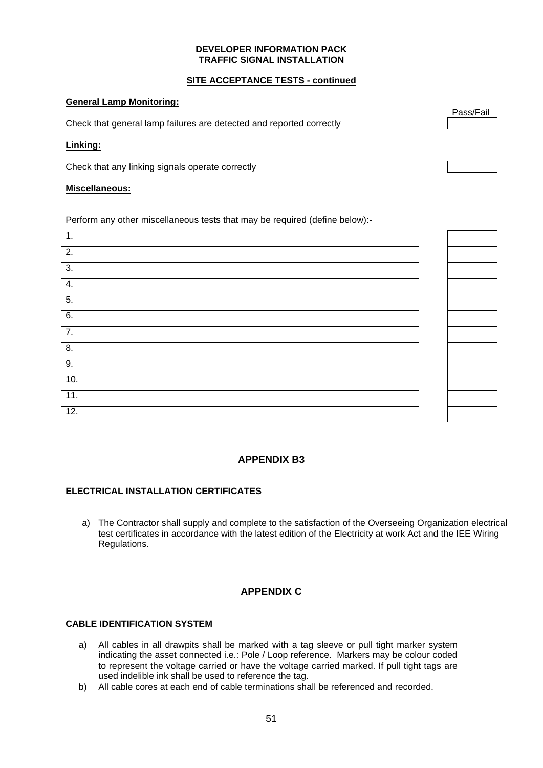# **SITE ACCEPTANCE TESTS - continued**

## **General Lamp Monitoring:**

Check that general lamp failures are detected and reported correctly

## **Linking:**

Check that any linking signals operate correctly

#### **Miscellaneous:**

Perform any other miscellaneous tests that may be required (define below):-

# **APPENDIX B3**

# **ELECTRICAL INSTALLATION CERTIFICATES**

a) The Contractor shall supply and complete to the satisfaction of the Overseeing Organization electrical test certificates in accordance with the latest edition of the Electricity at work Act and the IEE Wiring Regulations.

# **APPENDIX C**

# **CABLE IDENTIFICATION SYSTEM**

- a) All cables in all drawpits shall be marked with a tag sleeve or pull tight marker system indicating the asset connected i.e.: Pole / Loop reference. Markers may be colour coded to represent the voltage carried or have the voltage carried marked. If pull tight tags are used indelible ink shall be used to reference the tag.
- b) All cable cores at each end of cable terminations shall be referenced and recorded.

Pass/Fail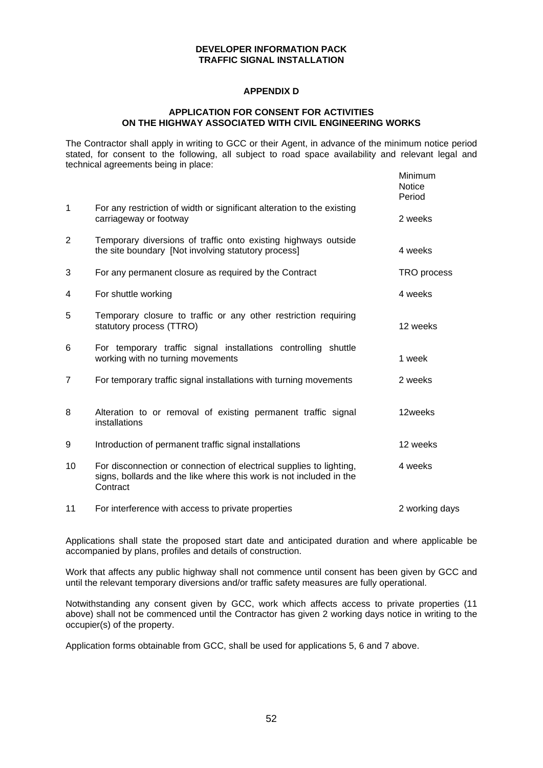# **APPENDIX D**

#### **APPLICATION FOR CONSENT FOR ACTIVITIES ON THE HIGHWAY ASSOCIATED WITH CIVIL ENGINEERING WORKS**

The Contractor shall apply in writing to GCC or their Agent, in advance of the minimum notice period stated, for consent to the following, all subject to road space availability and relevant legal and technical agreements being in place: Minimum

|             |                                                                                                                                                        | <u>iviiriirriurri</u><br><b>Notice</b><br>Period |
|-------------|--------------------------------------------------------------------------------------------------------------------------------------------------------|--------------------------------------------------|
| $\mathbf 1$ | For any restriction of width or significant alteration to the existing<br>carriageway or footway                                                       | 2 weeks                                          |
| 2           | Temporary diversions of traffic onto existing highways outside<br>the site boundary [Not involving statutory process]                                  | 4 weeks                                          |
| 3           | For any permanent closure as required by the Contract                                                                                                  | TRO process                                      |
| 4           | For shuttle working                                                                                                                                    | 4 weeks                                          |
| 5           | Temporary closure to traffic or any other restriction requiring<br>statutory process (TTRO)                                                            | 12 weeks                                         |
| 6           | For temporary traffic signal installations controlling shuttle<br>working with no turning movements                                                    | 1 week                                           |
| 7           | For temporary traffic signal installations with turning movements                                                                                      | 2 weeks                                          |
| 8           | Alteration to or removal of existing permanent traffic signal<br>installations                                                                         | 12weeks                                          |
| 9           | Introduction of permanent traffic signal installations                                                                                                 | 12 weeks                                         |
| 10          | For disconnection or connection of electrical supplies to lighting,<br>signs, bollards and the like where this work is not included in the<br>Contract | 4 weeks                                          |
| 11          | For interference with access to private properties                                                                                                     | 2 working days                                   |

Applications shall state the proposed start date and anticipated duration and where applicable be accompanied by plans, profiles and details of construction.

Work that affects any public highway shall not commence until consent has been given by GCC and until the relevant temporary diversions and/or traffic safety measures are fully operational.

Notwithstanding any consent given by GCC, work which affects access to private properties (11 above) shall not be commenced until the Contractor has given 2 working days notice in writing to the occupier(s) of the property.

Application forms obtainable from GCC, shall be used for applications 5, 6 and 7 above.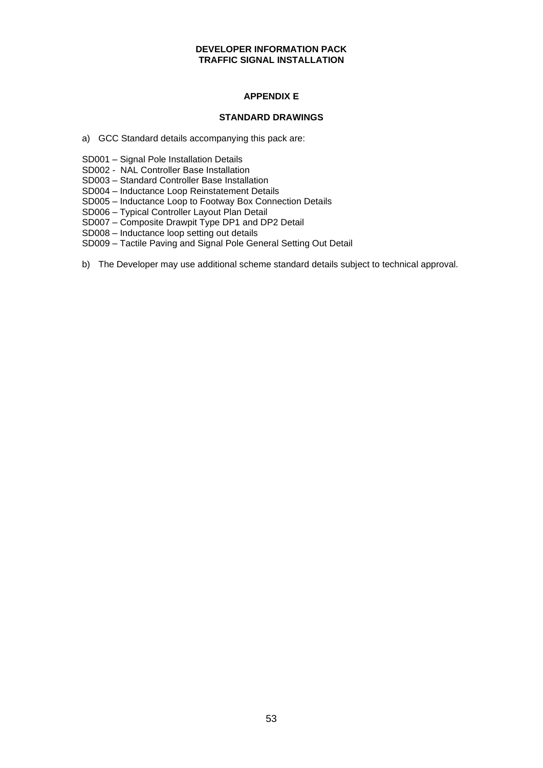# **APPENDIX E**

# **STANDARD DRAWINGS**

- a) GCC Standard details accompanying this pack are:
- SD001 Signal Pole Installation Details
- SD002 NAL Controller Base Installation
- SD003 Standard Controller Base Installation
- SD004 Inductance Loop Reinstatement Details
- SD005 Inductance Loop to Footway Box Connection Details
- SD006 Typical Controller Layout Plan Detail
- SD007 Composite Drawpit Type DP1 and DP2 Detail
- SD008 Inductance loop setting out details
- SD009 Tactile Paving and Signal Pole General Setting Out Detail
- b) The Developer may use additional scheme standard details subject to technical approval.